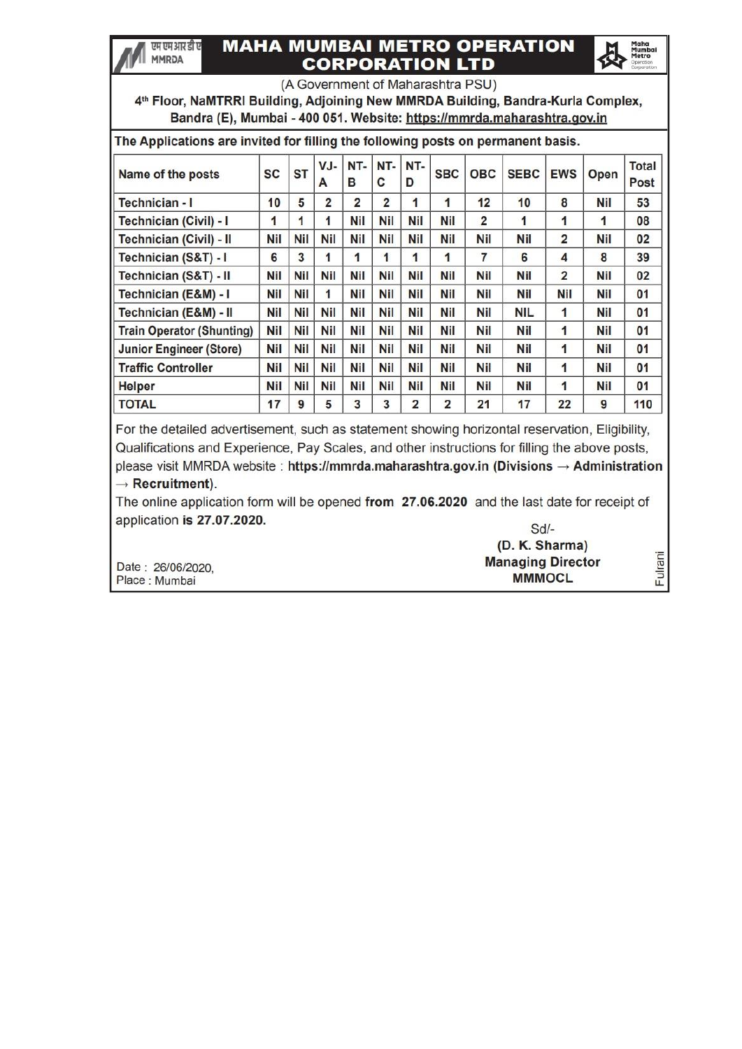### **MAHA MUMBAI METRO OPERATION CORPORATION LTD**

एम एम आर डी ए

**MMRDA** 



Fulrani

(A Government of Maharashtra PSU)

4th Floor, NaMTRRI Building, Adjoining New MMRDA Building, Bandra-Kurla Complex, Bandra (E), Mumbai - 400 051. Website: https://mmrda.maharashtra.gov.in

| The Applications are invited for filling the following posts on permanent basis. |            |            |                |                |                |            |            |                |             |                |            |                      |  |  |
|----------------------------------------------------------------------------------|------------|------------|----------------|----------------|----------------|------------|------------|----------------|-------------|----------------|------------|----------------------|--|--|
| Name of the posts                                                                | SC         | <b>ST</b>  | VJ-<br>A       | NT-<br>в       | NT-<br>C       | NT-<br>D   | <b>SBC</b> | <b>OBC</b>     | <b>SEBC</b> | <b>EWS</b>     | Open       | <b>Total</b><br>Post |  |  |
| Technician - I                                                                   | 10         | 5          | $\overline{2}$ | $\overline{2}$ | $\overline{2}$ | 1          | 1          | 12             | 10          | 8              | <b>Nil</b> | 53                   |  |  |
| Technician (Civil) - I                                                           | 1          | 1          | 1              | Nil            | <b>Nil</b>     | <b>Nil</b> | <b>Nil</b> | $\overline{2}$ | 1           | 1              | 1          | 08                   |  |  |
| Technician (Civil) - II                                                          | Nil        | <b>Nil</b> | <b>Nil</b>     | Nil            | <b>Nil</b>     | <b>Nil</b> | <b>Nil</b> | <b>Nil</b>     | <b>Nil</b>  | $\overline{2}$ | <b>Nil</b> | 02                   |  |  |
| Technician (S&T) - I                                                             | 6          | 3          | 1              | 1              | 1              | 1          | 1          | 7              | 6           | 4              | 8          | 39                   |  |  |
| Technician (S&T) - II                                                            | Nil        | Nil        | <b>Nil</b>     | Nil            | <b>Nil</b>     | <b>Nil</b> | <b>Nil</b> | Nil            | <b>Nil</b>  | $\overline{2}$ | Nil        | 02                   |  |  |
| Technician (E&M) - I                                                             | <b>Nil</b> | <b>Nil</b> | 1              | Nil            | <b>Nil</b>     | <b>Nil</b> | <b>Nil</b> | Nil            | Nil         | <b>Nil</b>     | <b>Nil</b> | 01                   |  |  |
| Technician (E&M) - II                                                            | <b>Nil</b> | <b>Nil</b> | Nil            | Nil            | <b>Nil</b>     | <b>Nil</b> | <b>Nil</b> | <b>Nil</b>     | <b>NIL</b>  | 1              | Nil        | 01                   |  |  |
| <b>Train Operator (Shunting)</b>                                                 | <b>Nil</b> | <b>Nil</b> | Nil            | Nil            | <b>Nil</b>     | <b>Nil</b> | <b>Nil</b> | Nil            | Nil         | 1              | Nil        | 01                   |  |  |
| <b>Junior Engineer (Store)</b>                                                   | <b>Nil</b> | <b>Nil</b> | <b>Nil</b>     | Nil            | <b>Nil</b>     | <b>Nil</b> | <b>Nil</b> | <b>Nil</b>     | <b>Nil</b>  | 1              | <b>Nil</b> | 01                   |  |  |
| <b>Traffic Controller</b>                                                        | <b>Nil</b> | <b>Nil</b> | Nil            | Nil            | <b>Nil</b>     | Nil        | <b>Nil</b> | Nil            | Nil         | 1              | Nil        | 01                   |  |  |
| <b>Helper</b>                                                                    | <b>Nil</b> | <b>Nil</b> | <b>Nil</b>     | <b>Nil</b>     | <b>Nil</b>     | <b>Nil</b> | <b>Nil</b> | <b>Nil</b>     | <b>Nil</b>  | 1              | <b>Nil</b> | 01                   |  |  |
| <b>TOTAL</b>                                                                     | 17         | 9          | 5              | 3              | 3              | 2          | 2          | 21             | 17          | 22             | 9          | 110                  |  |  |

For the detailed advertisement, such as statement showing horizontal reservation, Eligibility, Qualifications and Experience, Pay Scales, and other instructions for filling the above posts, please visit MMRDA website: https://mmrda.maharashtra.gov.in (Divisions  $\rightarrow$  Administration  $\rightarrow$  Recruitment).

The online application form will be opened from 27.06.2020 and the last date for receipt of application is 27.07.2020.  $Sd$ -

|                   | (D. K. Sharma)           |
|-------------------|--------------------------|
| Date: 26/06/2020. | <b>Managing Director</b> |
| Place : Mumbai    | <b>MMMOCL</b>            |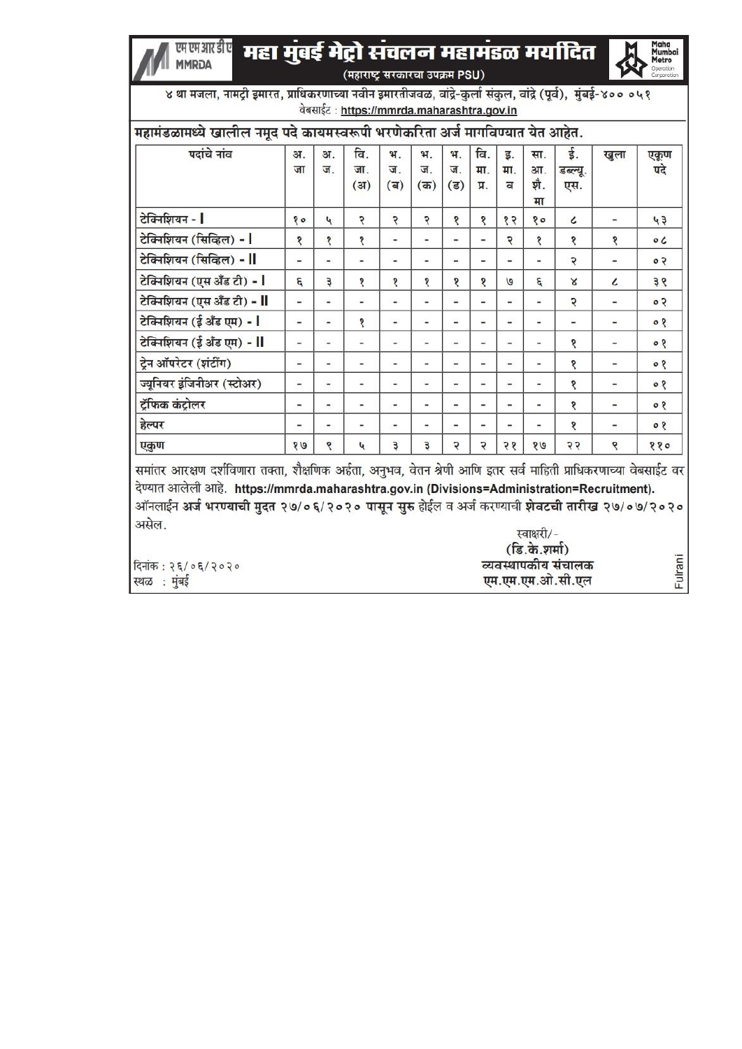#### महा मुंबई मेट्रो संचलन महामंडळ मयदित एम एम आर डी ए **MMRDA** (महाराष्ट्र सरकारचा उपक्रम PSU)



४ था मजला, नामट्री इमारत, प्राधिकरणाच्या नवीन इमारतीजवळ, वांद्रे-कुर्ला संकुल, वांद्रे (पूर्व), मुंबई-४०० ०५१ वेबसाईट: https://mmrda.maharashtra.gov.in

| पदांचे नांव                 | अ.                       | अ.                           | वि.                          | भ.                           | 91.                      | भ.                           | वि.                          | इ.                       | सा.                      | ई.                       | खुला                     | एकूण      |
|-----------------------------|--------------------------|------------------------------|------------------------------|------------------------------|--------------------------|------------------------------|------------------------------|--------------------------|--------------------------|--------------------------|--------------------------|-----------|
|                             | जा                       | ज.                           | जा.<br>(3I)                  | ज.<br>(ब)                    | ज.<br>(5)                | ज.<br>$(\overline{s})$       | मा.<br>प्र.                  | मा.<br>ਰ                 | आ.<br>श्री.<br>मा        | डब्ल्यू.<br>एस.          |                          | पदे       |
| टेक्निशियन -                | e g                      | $\mathbf{r}$                 | २                            | २                            | ç                        | १                            | δ                            | $\delta$                 | 80                       | $\epsilon$               |                          | 43        |
| टेक्निशियन (सिव्हिल) -      | १                        | १                            | १                            | $\qquad \qquad \blacksquare$ | ۰                        | $\qquad \qquad$              | -                            | Ç                        | १                        | १                        | १                        | $\circ c$ |
| टेक्निशियन (सिव्हिल) - II   | Ξ                        | $\frac{1}{2}$                | ٠                            | $\overline{\phantom{a}}$     | -                        | $\equiv$                     | ٠                            | u.                       | ٠                        | २                        | ٠                        | 0.5       |
| टेक्निशियन (एस अँड टी) -    | g                        | ₿                            | १                            | १                            | १                        | १                            | १                            | $\mathbf{Q}$             | g                        | Х                        | $\epsilon$               | 36        |
| टेक्निशियन (एस अँड टी) - II | $\overline{\phantom{0}}$ | $\overline{\phantom{0}}$     | ٠                            | $\overline{\phantom{m}}$     | $\overline{\phantom{0}}$ | $\overline{\phantom{a}}$     | ٠                            | $\overline{\phantom{0}}$ | $\overline{\phantom{0}}$ | २                        | ۰                        | 0.5       |
| टेक्निशियन (ई अँड एम) - 1   | $\overline{a}$           | $\overline{a}$               | १                            | $\overline{\phantom{0}}$     | -                        | $\overline{\phantom{0}}$     |                              | -                        |                          | $\overline{\phantom{a}}$ | ۰                        | 08        |
| टेक्निशियन (ई अँड एम) - II  | $\overline{\phantom{0}}$ | $\overline{\phantom{0}}$     | -                            | $\qquad \qquad$              | -                        | $\qquad \qquad$              | -                            | ۰                        | -                        | १                        | ۰                        | 08        |
| ट्रेन ऑपरेटर (शंटींग)       | -                        | $\overline{a}$               |                              | ٠                            | ۰                        | -                            | -                            |                          | ٠                        | १                        | -                        | 90        |
| ज्यूनियर इंजिनीअर (स्टोअर)  | $\overline{\phantom{m}}$ | $\overline{\phantom{0}}$     | ۰                            | $\overline{\phantom{a}}$     | ۰                        | $\overline{\phantom{0}}$     | $\qquad \qquad \blacksquare$ | ۰                        | $\overline{\phantom{0}}$ | १                        | $\qquad \qquad$          | 08        |
| ट्रॅफिक कंट्रोलर            | $\overline{a}$           | $\qquad \qquad \blacksquare$ | $\qquad \qquad \blacksquare$ | -                            |                          | $\qquad \qquad \blacksquare$ | -                            | -                        |                          | १                        | $\overline{\phantom{0}}$ | 08        |
| हेल्पर                      | $\overline{\phantom{a}}$ | $\qquad \qquad \blacksquare$ | -                            | $\overline{\phantom{a}}$     | ۰.                       | $\overline{\phantom{a}}$     | -                            | ۰                        |                          | $\overline{\mathbf{S}}$  | $\overline{\phantom{a}}$ | 90        |
| एकुण                        | 99                       | ९                            | 4                            | Э                            | Э                        | ç                            | 5                            | २१                       | 99                       | २२                       | p                        | 880       |

समांतर आरक्षण दर्शविणारा तक्ता, शैक्षणिक अर्हता, अनुभव, वेतन श्रेणी आणि इतर सर्व माहिती प्राधिकरणाच्या वेबसाईट वर देण्यात आलेली आहे. https://mmrda.maharashtra.gov.in (Divisions=Administration=Recruitment). ऑनलाईन अर्ज भरण्याची मुदत २७/०६/२०२० पासून सुरु होईल व अर्ज करण्याची शेवटची तारीख २७/०७/२०२० असेल. स्वाक्षरी/-

|                     | $\sim$              |     |
|---------------------|---------------------|-----|
|                     | (डि.के.शर्मा)       |     |
| दिनांक : २६/०६/२०२० | व्यवस्थापकीय संचालक | iue |
| स्थळ : मुंबई        | एम.एम.एम.ओ.सी.एल    |     |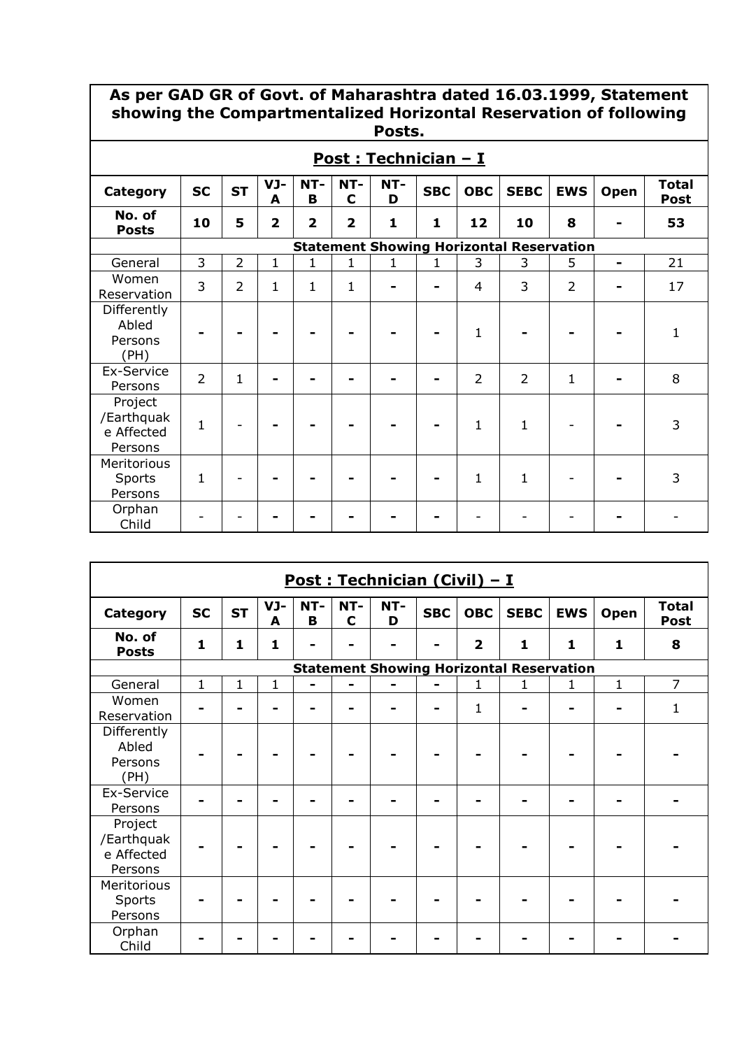### **As per GAD GR of Govt. of Maharashtra dated 16.03.1999, Statement showing the Compartmentalized Horizontal Reservation of following Posts.**

| Post: Technician - I                           |                |                |                |                         |                    |              |            |                |                                                 |                |                          |                             |  |
|------------------------------------------------|----------------|----------------|----------------|-------------------------|--------------------|--------------|------------|----------------|-------------------------------------------------|----------------|--------------------------|-----------------------------|--|
| <b>Category</b>                                | <b>SC</b>      | <b>ST</b>      | VJ-<br>A       | NT-<br>B                | NT-<br>$\mathbf C$ | NT-<br>D     | <b>SBC</b> | <b>OBC</b>     | <b>SEBC</b>                                     | <b>EWS</b>     | Open                     | <b>Total</b><br><b>Post</b> |  |
| No. of<br><b>Posts</b>                         | 10             | 5              | $\overline{2}$ | $\overline{\mathbf{2}}$ | $\overline{2}$     | $\mathbf{1}$ | 1          | 12             | 10                                              | 8              |                          | 53                          |  |
|                                                |                |                |                |                         |                    |              |            |                | <b>Statement Showing Horizontal Reservation</b> |                |                          |                             |  |
| General                                        | 3              | $\overline{2}$ | $\mathbf{1}$   | $\mathbf{1}$            | 1                  | 1            | 1          | 3              | 3                                               | 5              | $\overline{\phantom{0}}$ | 21                          |  |
| Women<br>Reservation                           | 3              | $\overline{2}$ | 1              | $\mathbf{1}$            | 1                  |              |            | 4              | 3                                               | $\overline{2}$ |                          | 17                          |  |
| Differently<br>Abled<br>Persons<br>(PH)        |                |                |                |                         |                    |              |            | $\mathbf{1}$   |                                                 |                |                          | $\mathbf{1}$                |  |
| Ex-Service<br>Persons                          | $\overline{2}$ | $\mathbf{1}$   |                |                         |                    |              |            | $\overline{2}$ | $\overline{2}$                                  | 1              |                          | 8                           |  |
| Project<br>/Earthquak<br>e Affected<br>Persons | 1              |                |                |                         |                    |              |            | $\mathbf{1}$   | 1                                               |                |                          | 3                           |  |
| Meritorious<br>Sports<br>Persons               | $\mathbf{1}$   |                |                |                         |                    |              |            | 1              | $\mathbf{1}$                                    |                |                          | 3                           |  |
| Orphan<br>Child                                |                |                |                |                         |                    |              |            |                |                                                 |                |                          |                             |  |

|                                                |              |           |          |          |          | Post: Technician (Civil) - I |            |                         |                                                 |            |              |                             |
|------------------------------------------------|--------------|-----------|----------|----------|----------|------------------------------|------------|-------------------------|-------------------------------------------------|------------|--------------|-----------------------------|
| Category                                       | <b>SC</b>    | <b>ST</b> | VJ-<br>A | NT-<br>B | NT-<br>C | NT-<br>D                     | <b>SBC</b> | <b>OBC</b>              | <b>SEBC</b>                                     | <b>EWS</b> | Open         | <b>Total</b><br><b>Post</b> |
| No. of<br><b>Posts</b>                         | $\mathbf{1}$ | 1         | 1        |          |          |                              |            | $\overline{\mathbf{2}}$ | $\mathbf{1}$                                    | 1          | $\mathbf{1}$ | 8                           |
|                                                |              |           |          |          |          |                              |            |                         | <b>Statement Showing Horizontal Reservation</b> |            |              |                             |
| General                                        | $\mathbf{1}$ | 1         | 1        |          |          |                              |            | 1                       | 1                                               | 1          | $\mathbf{1}$ | $\overline{7}$              |
| Women<br>Reservation                           |              |           |          |          |          |                              |            | 1                       |                                                 |            |              | $\mathbf{1}$                |
| Differently<br>Abled<br>Persons<br>(PH)        |              |           |          |          |          |                              |            |                         |                                                 |            |              |                             |
| Ex-Service<br>Persons                          |              |           |          |          |          |                              |            |                         |                                                 |            |              |                             |
| Project<br>/Earthquak<br>e Affected<br>Persons |              |           |          |          |          |                              |            |                         |                                                 |            |              |                             |
| Meritorious<br>Sports<br>Persons               |              |           |          |          |          |                              |            |                         |                                                 |            |              |                             |
| Orphan<br>Child                                |              |           |          |          |          |                              |            |                         |                                                 |            |              |                             |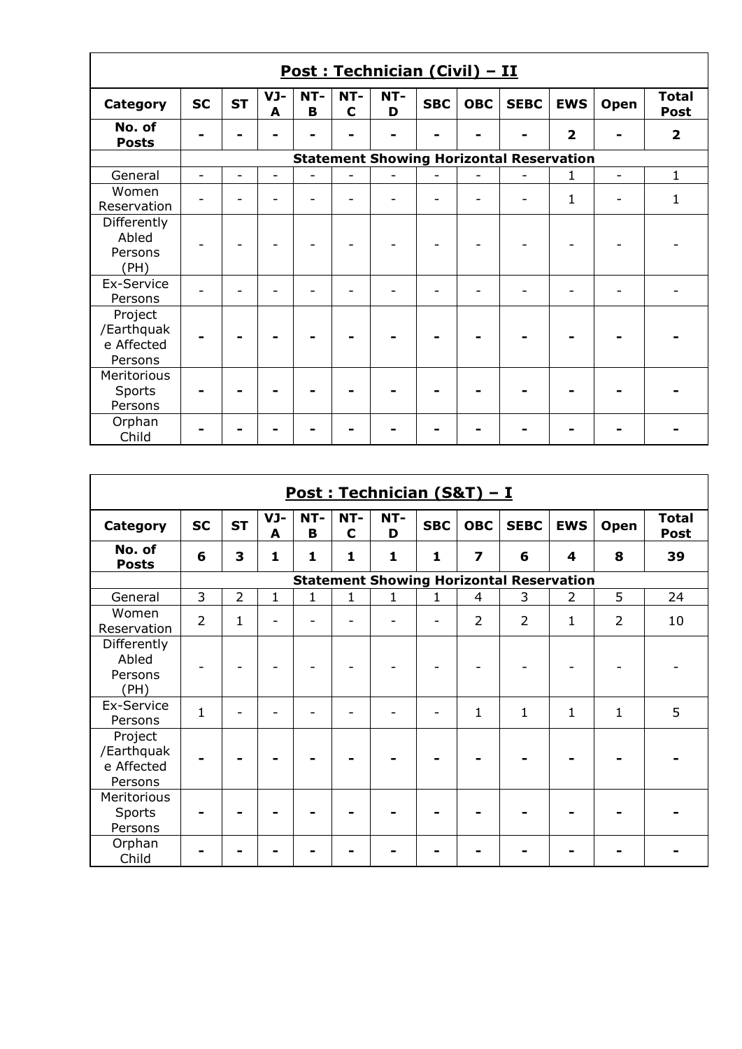|                                                |           |           |          |          |                    | Post: Technician (Civil) - II |            |            |                                                 |                         |                          |                             |
|------------------------------------------------|-----------|-----------|----------|----------|--------------------|-------------------------------|------------|------------|-------------------------------------------------|-------------------------|--------------------------|-----------------------------|
| Category                                       | <b>SC</b> | <b>ST</b> | VJ-<br>A | NT-<br>B | NT-<br>$\mathbf C$ | NT-<br>D                      | <b>SBC</b> | <b>OBC</b> | <b>SEBC</b>                                     | <b>EWS</b>              | Open                     | <b>Total</b><br><b>Post</b> |
| No. of<br><b>Posts</b>                         |           |           |          |          |                    |                               |            |            |                                                 | $\overline{\mathbf{2}}$ |                          | $\overline{\mathbf{2}}$     |
|                                                |           |           |          |          |                    |                               |            |            | <b>Statement Showing Horizontal Reservation</b> |                         |                          |                             |
| General                                        |           |           | ۰        |          |                    |                               |            |            |                                                 | 1                       | $\overline{\phantom{0}}$ | 1                           |
| Women<br>Reservation                           |           |           |          |          |                    |                               |            |            |                                                 | $\mathbf{1}$            |                          | 1                           |
| Differently<br>Abled<br>Persons<br>(PH)        |           |           |          |          |                    |                               |            |            |                                                 |                         |                          |                             |
| Ex-Service<br>Persons                          |           |           |          |          |                    | ۳                             |            |            | -                                               |                         |                          |                             |
| Project<br>/Earthquak<br>e Affected<br>Persons |           |           |          |          |                    |                               |            |            |                                                 |                         |                          |                             |
| Meritorious<br>Sports<br>Persons               |           |           |          |          |                    |                               |            |            |                                                 |                         |                          |                             |
| Orphan<br>Child                                |           |           |          |          |                    |                               |            |            |                                                 |                         |                          |                             |

|                                                |                |                |              |              |                    | Post: Technician (S&T) - I |              |                         |                                                 |                |                |                             |
|------------------------------------------------|----------------|----------------|--------------|--------------|--------------------|----------------------------|--------------|-------------------------|-------------------------------------------------|----------------|----------------|-----------------------------|
| <b>Category</b>                                | <b>SC</b>      | <b>ST</b>      | VJ-<br>A     | NT-<br>B     | NT-<br>$\mathbf c$ | NT-<br>D                   | <b>SBC</b>   | <b>OBC</b>              | <b>SEBC</b>                                     | <b>EWS</b>     | Open           | <b>Total</b><br><b>Post</b> |
| No. of<br><b>Posts</b>                         | 6              | 3              | 1            | 1            | 1                  | $\mathbf{1}$               | $\mathbf{1}$ | $\overline{\mathbf{z}}$ | 6                                               | 4              | 8              | 39                          |
|                                                |                |                |              |              |                    |                            |              |                         | <b>Statement Showing Horizontal Reservation</b> |                |                |                             |
| General                                        | 3              | $\overline{2}$ | $\mathbf{1}$ | $\mathbf{1}$ | $\mathbf{1}$       | $\mathbf{1}$               | 1            | $\overline{4}$          | 3                                               | $\overline{2}$ | 5              | 24                          |
| Women<br>Reservation                           | $\overline{2}$ | 1              |              |              |                    |                            |              | $\overline{2}$          | $\overline{2}$                                  | 1              | $\overline{2}$ | 10                          |
| Differently<br>Abled<br>Persons<br>(PH)        |                |                |              |              |                    |                            |              |                         |                                                 |                |                |                             |
| Ex-Service<br>Persons                          | $\mathbf{1}$   |                |              |              |                    |                            |              | $\mathbf{1}$            | $\mathbf{1}$                                    | 1              | $\mathbf{1}$   | 5                           |
| Project<br>/Earthquak<br>e Affected<br>Persons |                |                |              |              |                    |                            |              |                         |                                                 |                |                |                             |
| Meritorious<br>Sports<br>Persons               |                |                |              |              |                    |                            |              |                         |                                                 |                |                |                             |
| Orphan<br>Child                                |                |                |              |              |                    |                            |              |                         |                                                 |                |                |                             |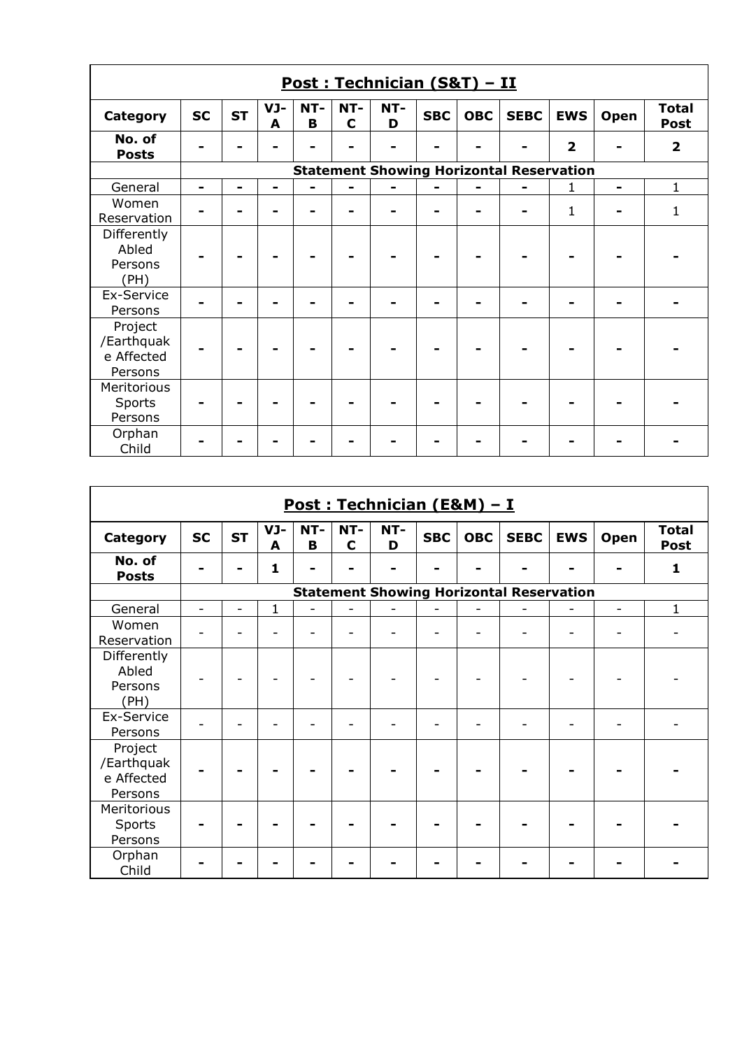|                                                |                |           |                |          |                    | Post: Technician (S&T) - II |            |            |                                                 |                |                |                             |
|------------------------------------------------|----------------|-----------|----------------|----------|--------------------|-----------------------------|------------|------------|-------------------------------------------------|----------------|----------------|-----------------------------|
| <b>Category</b>                                | <b>SC</b>      | <b>ST</b> | VJ-<br>A       | NT-<br>B | NT-<br>$\mathbf C$ | NT-<br>D                    | <b>SBC</b> | <b>OBC</b> | <b>SEBC</b>                                     | <b>EWS</b>     | Open           | <b>Total</b><br><b>Post</b> |
| No. of<br><b>Posts</b>                         |                |           |                |          |                    |                             |            |            |                                                 | $\overline{2}$ |                | $\overline{2}$              |
|                                                |                |           |                |          |                    |                             |            |            | <b>Statement Showing Horizontal Reservation</b> |                |                |                             |
| General                                        | $\blacksquare$ |           | $\blacksquare$ |          |                    |                             |            |            |                                                 | 1              | $\blacksquare$ | $\mathbf{1}$                |
| Women<br>Reservation                           |                |           |                |          |                    |                             |            |            | $\blacksquare$                                  | $\mathbf{1}$   |                | 1                           |
| Differently<br>Abled<br>Persons<br>(PH)        |                |           |                |          |                    |                             |            |            |                                                 |                |                |                             |
| Ex-Service<br>Persons                          |                |           |                |          |                    |                             |            |            |                                                 |                |                |                             |
| Project<br>/Earthquak<br>e Affected<br>Persons |                |           |                |          |                    |                             |            |            |                                                 |                |                |                             |
| Meritorious<br>Sports<br>Persons               |                |           |                |          |                    |                             |            |            |                                                 |                |                |                             |
| Orphan<br>Child                                |                |           |                |          |                    |                             |            |            |                                                 |                |                |                             |

|                                                |           |           |             |          |                    | Post: Technician (E&M) - I |            |            |                                                 |            |      |                             |
|------------------------------------------------|-----------|-----------|-------------|----------|--------------------|----------------------------|------------|------------|-------------------------------------------------|------------|------|-----------------------------|
| Category                                       | <b>SC</b> | <b>ST</b> | VJ-<br>A    | NT-<br>B | NT-<br>$\mathbf C$ | NT-<br>D                   | <b>SBC</b> | <b>OBC</b> | <b>SEBC</b>                                     | <b>EWS</b> | Open | <b>Total</b><br><b>Post</b> |
| No. of<br><b>Posts</b>                         |           |           | 1           |          |                    |                            |            |            |                                                 |            |      | $\mathbf{1}$                |
|                                                |           |           |             |          |                    |                            |            |            | <b>Statement Showing Horizontal Reservation</b> |            |      |                             |
| General                                        | ۳         |           | $\mathbf 1$ |          |                    |                            |            |            |                                                 |            | ۳    | $\mathbf{1}$                |
| Women<br>Reservation                           |           |           |             |          |                    |                            |            |            |                                                 |            |      |                             |
| Differently<br>Abled<br>Persons<br>(PH)        |           |           |             |          |                    |                            |            |            |                                                 |            |      |                             |
| Ex-Service<br>Persons                          |           |           |             |          |                    |                            |            |            | $\overline{\phantom{a}}$                        |            |      |                             |
| Project<br>/Earthquak<br>e Affected<br>Persons |           |           |             |          |                    |                            |            |            |                                                 |            |      |                             |
| Meritorious<br>Sports<br>Persons               |           |           |             |          |                    |                            |            |            |                                                 |            |      |                             |
| Orphan<br>Child                                |           |           |             |          |                    |                            |            |            |                                                 |            |      |                             |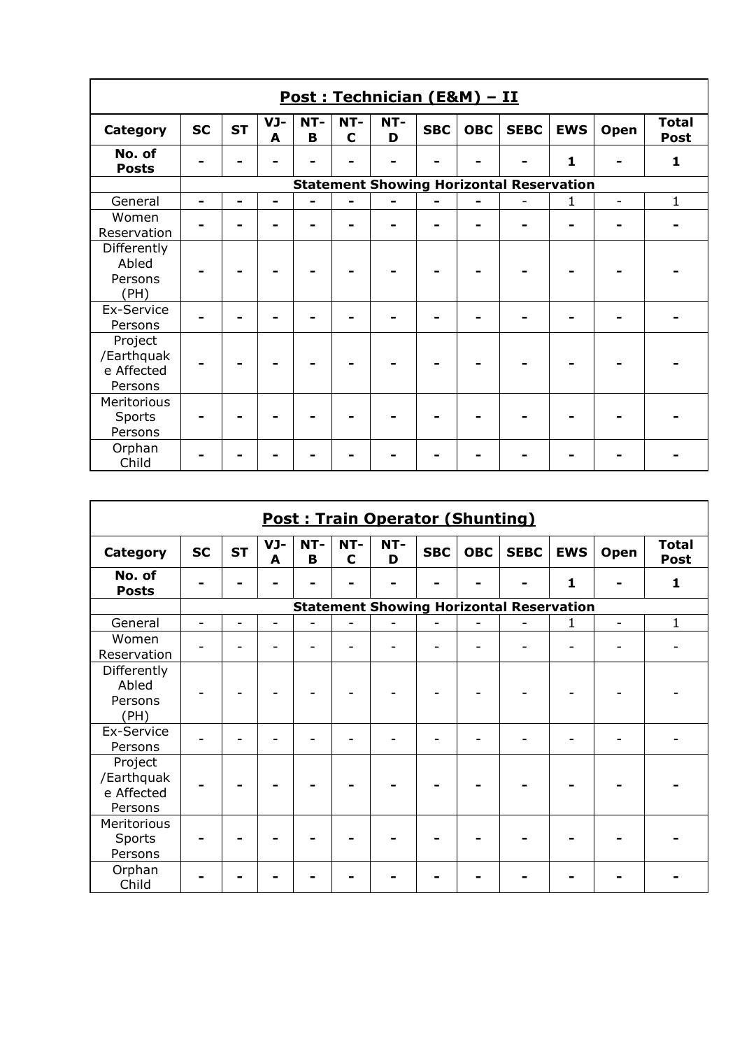|                                                |                          |           |          |          |                    | Post: Technician (E&M) - II |            |            |                                                 |              |                          |                      |
|------------------------------------------------|--------------------------|-----------|----------|----------|--------------------|-----------------------------|------------|------------|-------------------------------------------------|--------------|--------------------------|----------------------|
| <b>Category</b>                                | <b>SC</b>                | <b>ST</b> | VJ-<br>A | NT-<br>В | NT-<br>$\mathbf C$ | NT-<br>D                    | <b>SBC</b> | <b>OBC</b> | <b>SEBC</b>                                     | <b>EWS</b>   | Open                     | <b>Total</b><br>Post |
| No. of<br><b>Posts</b>                         |                          |           |          |          |                    |                             |            |            |                                                 | $\mathbf{1}$ |                          | 1                    |
|                                                |                          |           |          |          |                    |                             |            |            | <b>Statement Showing Horizontal Reservation</b> |              |                          |                      |
| General                                        | $\overline{\phantom{0}}$ | -         | -        |          |                    |                             |            |            |                                                 | 1            | $\overline{\phantom{0}}$ | $\mathbf{1}$         |
| Women<br>Reservation                           |                          |           |          |          |                    |                             |            |            |                                                 |              |                          |                      |
| Differently<br>Abled<br>Persons<br>(PH)        |                          |           |          |          |                    |                             |            |            |                                                 |              |                          |                      |
| Ex-Service<br>Persons                          |                          |           |          |          |                    |                             |            |            |                                                 |              |                          |                      |
| Project<br>/Earthquak<br>e Affected<br>Persons |                          |           |          |          |                    |                             |            |            |                                                 |              |                          |                      |
| Meritorious<br>Sports<br>Persons               |                          |           |          |          |                    |                             |            |            |                                                 |              |                          |                      |
| Orphan<br>Child                                |                          |           |          |          |                    |                             |            |            |                                                 |              |                          |                      |

|                                                |                          |                          |          |          |                    | <b>Post: Train Operator (Shunting)</b> |            |            |                                                 |            |                          |                             |
|------------------------------------------------|--------------------------|--------------------------|----------|----------|--------------------|----------------------------------------|------------|------------|-------------------------------------------------|------------|--------------------------|-----------------------------|
| <b>Category</b>                                | <b>SC</b>                | <b>ST</b>                | VJ-<br>A | NT-<br>B | NT-<br>$\mathbf C$ | NT-<br>D                               | <b>SBC</b> | <b>OBC</b> | <b>SEBC</b>                                     | <b>EWS</b> | Open                     | <b>Total</b><br><b>Post</b> |
| No. of<br><b>Posts</b>                         |                          |                          |          |          |                    |                                        |            |            |                                                 | 1          |                          | 1                           |
|                                                |                          |                          |          |          |                    |                                        |            |            | <b>Statement Showing Horizontal Reservation</b> |            |                          |                             |
| General                                        | $\overline{\phantom{0}}$ | $\overline{\phantom{0}}$ | -        |          |                    |                                        |            |            |                                                 | 1          | $\overline{\phantom{0}}$ | $\mathbf{1}$                |
| Women<br>Reservation                           |                          |                          |          |          |                    |                                        |            |            |                                                 |            |                          |                             |
| Differently<br>Abled<br>Persons<br>(PH)        |                          |                          |          |          |                    |                                        |            |            |                                                 |            |                          |                             |
| Ex-Service<br>Persons                          |                          |                          |          |          |                    |                                        |            |            | ۳                                               |            |                          |                             |
| Project<br>/Earthquak<br>e Affected<br>Persons |                          |                          |          |          |                    |                                        |            |            |                                                 |            |                          |                             |
| Meritorious<br>Sports<br>Persons               |                          |                          |          |          |                    |                                        |            |            |                                                 |            |                          |                             |
| Orphan<br>Child                                |                          |                          |          |          |                    |                                        |            |            |                                                 |            |                          |                             |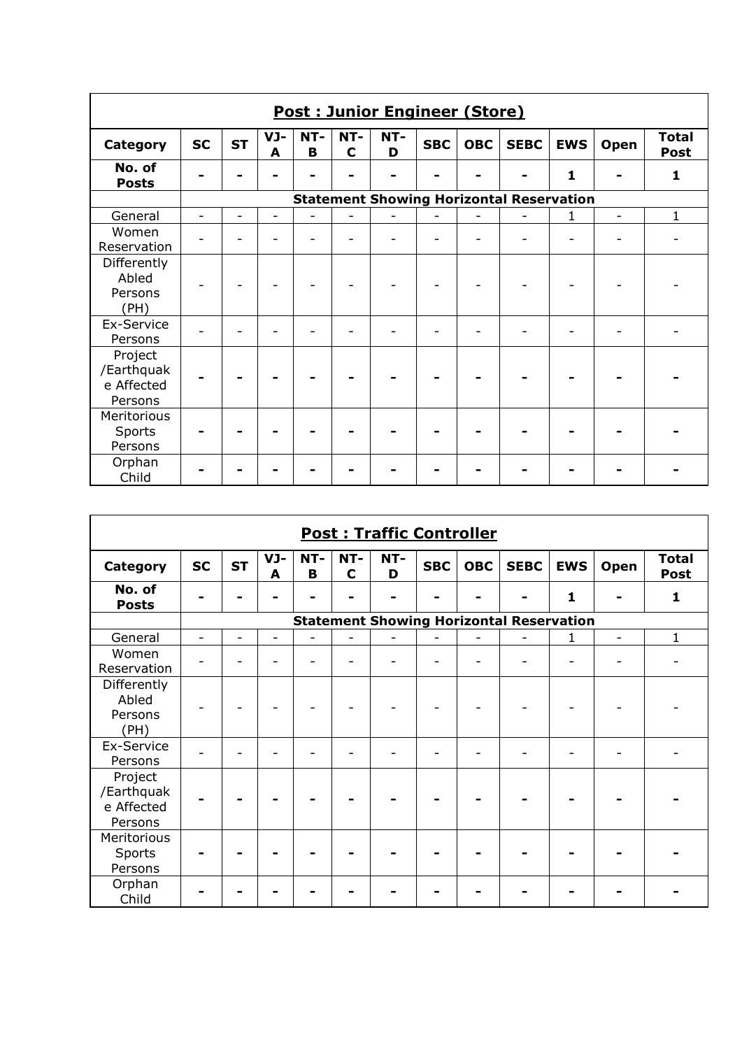|                                                | <b>Post: Junior Engineer (Store)</b> |           |                          |          |                    |          |            |            |                                                 |            |      |                             |
|------------------------------------------------|--------------------------------------|-----------|--------------------------|----------|--------------------|----------|------------|------------|-------------------------------------------------|------------|------|-----------------------------|
| <b>Category</b>                                | <b>SC</b>                            | <b>ST</b> | VJ-<br>A                 | NT-<br>B | NT-<br>$\mathbf C$ | NT-<br>D | <b>SBC</b> | <b>OBC</b> | <b>SEBC</b>                                     | <b>EWS</b> | Open | <b>Total</b><br><b>Post</b> |
| No. of<br><b>Posts</b>                         |                                      |           |                          |          |                    |          |            |            |                                                 | 1          |      | 1                           |
|                                                |                                      |           |                          |          |                    |          |            |            | <b>Statement Showing Horizontal Reservation</b> |            |      |                             |
| General                                        |                                      |           | $\overline{\phantom{0}}$ |          | L.                 |          |            |            |                                                 | 1          | ÷    | $\mathbf{1}$                |
| Women<br>Reservation                           |                                      |           |                          |          |                    |          |            |            |                                                 |            |      |                             |
| Differently<br>Abled<br>Persons<br>(PH)        |                                      |           |                          |          |                    |          |            |            |                                                 |            |      |                             |
| Ex-Service<br>Persons                          |                                      |           |                          |          |                    |          |            |            | ۰                                               |            |      |                             |
| Project<br>/Earthquak<br>e Affected<br>Persons |                                      |           |                          |          |                    |          |            |            |                                                 |            |      |                             |
| Meritorious<br>Sports<br>Persons               |                                      |           |                          |          |                    |          |            |            |                                                 |            |      |                             |
| Orphan<br>Child                                |                                      |           |                          |          |                    |          |            |            |                                                 |            |      |                             |

|                                                | <b>Post: Traffic Controller</b> |           |          |          |                    |          |            |            |                                                 |            |      |                             |
|------------------------------------------------|---------------------------------|-----------|----------|----------|--------------------|----------|------------|------------|-------------------------------------------------|------------|------|-----------------------------|
| <b>Category</b>                                | <b>SC</b>                       | <b>ST</b> | VJ-<br>A | NT-<br>B | NT-<br>$\mathbf C$ | NT-<br>D | <b>SBC</b> | <b>OBC</b> | <b>SEBC</b>                                     | <b>EWS</b> | Open | <b>Total</b><br><b>Post</b> |
| No. of<br><b>Posts</b>                         |                                 |           |          |          |                    |          |            |            |                                                 | 1          |      | $\mathbf{1}$                |
|                                                |                                 |           |          |          |                    |          |            |            | <b>Statement Showing Horizontal Reservation</b> |            |      |                             |
| General                                        | ۳                               |           | ۳        |          |                    |          |            |            |                                                 | 1          | ۳    | $\mathbf{1}$                |
| Women<br>Reservation                           |                                 |           |          |          |                    |          |            |            | ۳                                               |            |      |                             |
| Differently<br>Abled<br>Persons<br>(PH)        |                                 |           |          |          |                    |          |            |            |                                                 |            |      |                             |
| Ex-Service<br>Persons                          |                                 |           |          |          |                    |          |            |            | $\overline{\phantom{a}}$                        |            |      |                             |
| Project<br>/Earthquak<br>e Affected<br>Persons |                                 |           |          |          |                    |          |            |            |                                                 |            |      |                             |
| Meritorious<br>Sports<br>Persons               |                                 |           |          |          |                    |          |            |            |                                                 |            |      |                             |
| Orphan<br>Child                                |                                 |           |          |          |                    |          |            |            |                                                 |            |      |                             |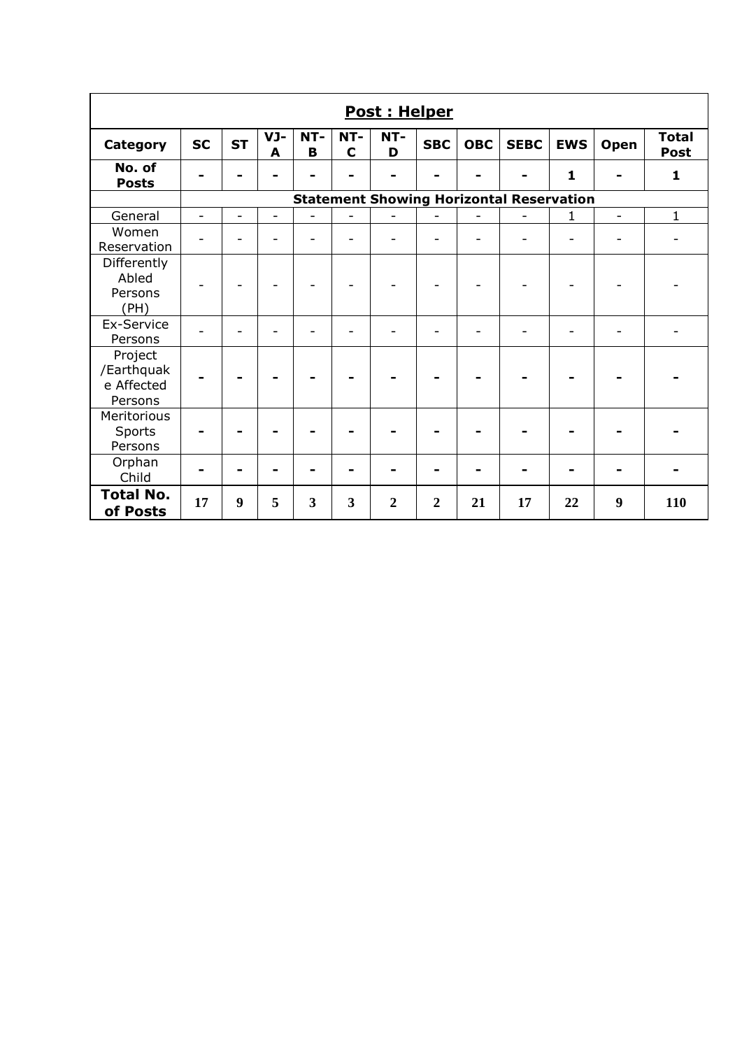| <b>Post: Helper</b>                            |                |           |                          |                |                    |                  |                  |            |                                                 |              |                |                             |
|------------------------------------------------|----------------|-----------|--------------------------|----------------|--------------------|------------------|------------------|------------|-------------------------------------------------|--------------|----------------|-----------------------------|
| <b>Category</b>                                | <b>SC</b>      | <b>ST</b> | VJ-<br>A                 | NT-<br>B       | NT-<br>$\mathbf C$ | NT-<br>D         | <b>SBC</b>       | <b>OBC</b> | <b>SEBC</b>                                     | <b>EWS</b>   | Open           | <b>Total</b><br><b>Post</b> |
| No. of<br><b>Posts</b>                         |                |           |                          |                | $\blacksquare$     | ۰                |                  |            |                                                 | $\mathbf{1}$ |                | $\mathbf{1}$                |
|                                                |                |           |                          |                |                    |                  |                  |            | <b>Statement Showing Horizontal Reservation</b> |              |                |                             |
| General                                        | $\overline{a}$ | ÷.        | $\overline{\phantom{0}}$ | $\overline{a}$ | $\overline{a}$     | L,               |                  |            | $\overline{\phantom{0}}$                        | 1            | $\overline{a}$ | $\mathbf{1}$                |
| Women<br>Reservation                           |                |           |                          |                |                    | ۳                |                  |            |                                                 |              |                |                             |
| Differently<br>Abled<br>Persons<br>(PH)        |                |           |                          |                |                    |                  |                  |            |                                                 |              |                |                             |
| Ex-Service<br>Persons                          |                |           |                          |                |                    |                  |                  |            |                                                 |              |                |                             |
| Project<br>/Earthquak<br>e Affected<br>Persons |                |           |                          |                |                    |                  |                  |            |                                                 |              |                |                             |
| Meritorious<br>Sports<br>Persons               |                |           |                          |                |                    |                  |                  |            |                                                 |              |                |                             |
| Orphan<br>Child                                |                |           |                          |                |                    |                  |                  |            |                                                 |              |                |                             |
| <b>Total No.</b><br>of Posts                   | 17             | 9         | 5                        | 3              | 3                  | $\boldsymbol{2}$ | $\boldsymbol{2}$ | 21         | 17                                              | 22           | 9              | 110                         |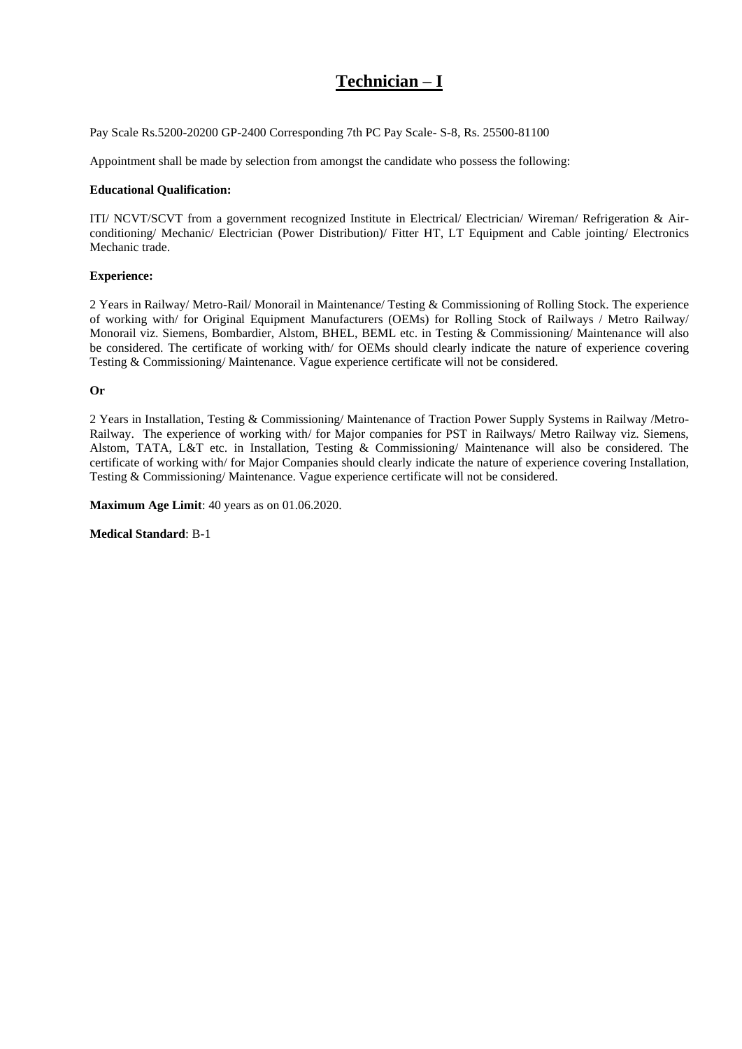# **Technician – I**

Pay Scale Rs.5200-20200 GP-2400 Corresponding 7th PC Pay Scale- S-8, Rs. 25500-81100

Appointment shall be made by selection from amongst the candidate who possess the following:

#### **Educational Qualification:**

ITI/ NCVT/SCVT from a government recognized Institute in Electrical/ Electrician/ Wireman/ Refrigeration & Airconditioning/ Mechanic/ Electrician (Power Distribution)/ Fitter HT, LT Equipment and Cable jointing/ Electronics Mechanic trade.

#### **Experience:**

2 Years in Railway/ Metro-Rail/ Monorail in Maintenance/ Testing & Commissioning of Rolling Stock. The experience of working with/ for Original Equipment Manufacturers (OEMs) for Rolling Stock of Railways / Metro Railway/ Monorail viz. Siemens, Bombardier, Alstom, BHEL, BEML etc. in Testing & Commissioning/ Maintenance will also be considered. The certificate of working with/ for OEMs should clearly indicate the nature of experience covering Testing & Commissioning/ Maintenance. Vague experience certificate will not be considered.

**Or**

2 Years in Installation, Testing & Commissioning/ Maintenance of Traction Power Supply Systems in Railway /Metro-Railway. The experience of working with/ for Major companies for PST in Railways/ Metro Railway viz. Siemens, Alstom, TATA, L&T etc. in Installation, Testing & Commissioning/ Maintenance will also be considered. The certificate of working with/ for Major Companies should clearly indicate the nature of experience covering Installation, Testing & Commissioning/ Maintenance. Vague experience certificate will not be considered.

**Maximum Age Limit**: 40 years as on 01.06.2020.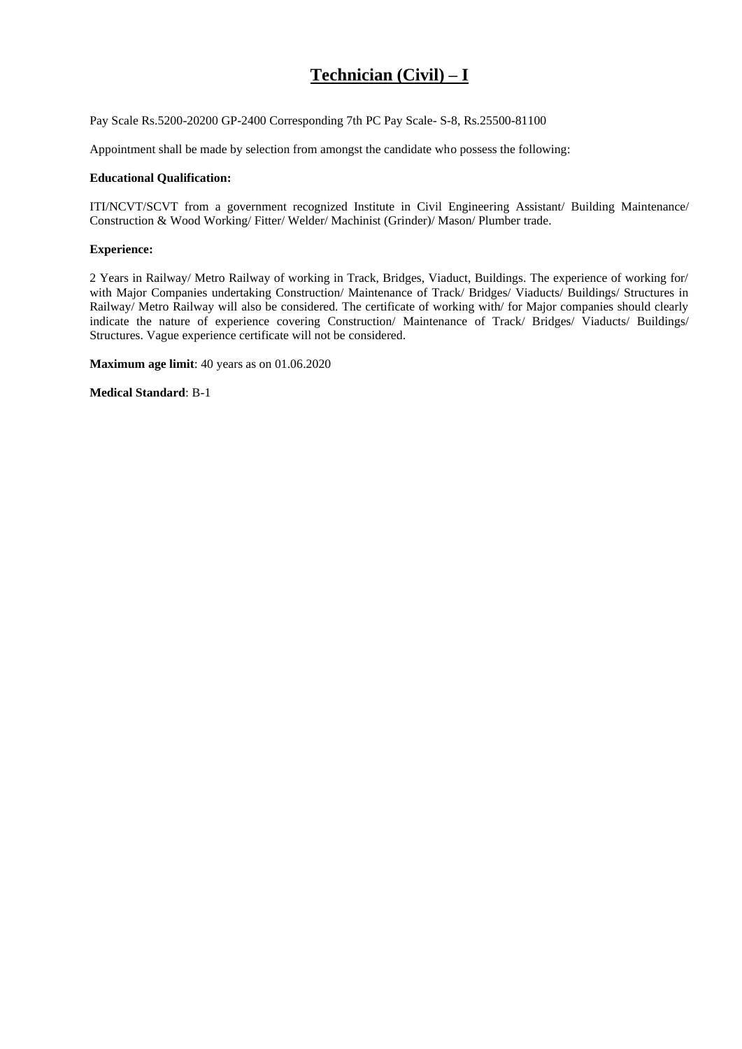# **Technician (Civil) – I**

Pay Scale Rs.5200-20200 GP-2400 Corresponding 7th PC Pay Scale- S-8, Rs.25500-81100

Appointment shall be made by selection from amongst the candidate who possess the following:

#### **Educational Qualification:**

ITI/NCVT/SCVT from a government recognized Institute in Civil Engineering Assistant/ Building Maintenance/ Construction & Wood Working/ Fitter/ Welder/ Machinist (Grinder)/ Mason/ Plumber trade.

#### **Experience:**

2 Years in Railway/ Metro Railway of working in Track, Bridges, Viaduct, Buildings. The experience of working for/ with Major Companies undertaking Construction/ Maintenance of Track/ Bridges/ Viaducts/ Buildings/ Structures in Railway/ Metro Railway will also be considered. The certificate of working with/ for Major companies should clearly indicate the nature of experience covering Construction/ Maintenance of Track/ Bridges/ Viaducts/ Buildings/ Structures. Vague experience certificate will not be considered.

**Maximum age limit**: 40 years as on 01.06.2020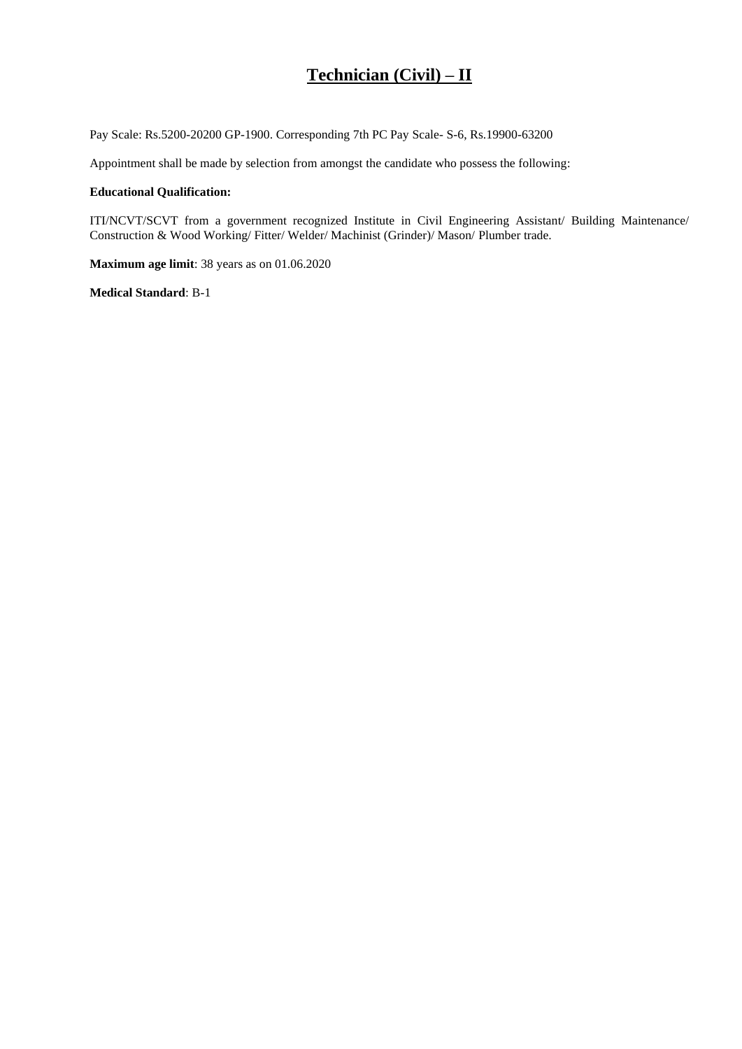## **Technician (Civil) – II**

Pay Scale: Rs.5200-20200 GP-1900. Corresponding 7th PC Pay Scale- S-6, Rs.19900-63200

Appointment shall be made by selection from amongst the candidate who possess the following:

#### **Educational Qualification:**

ITI/NCVT/SCVT from a government recognized Institute in Civil Engineering Assistant/ Building Maintenance/ Construction & Wood Working/ Fitter/ Welder/ Machinist (Grinder)/ Mason/ Plumber trade.

**Maximum age limit**: 38 years as on 01.06.2020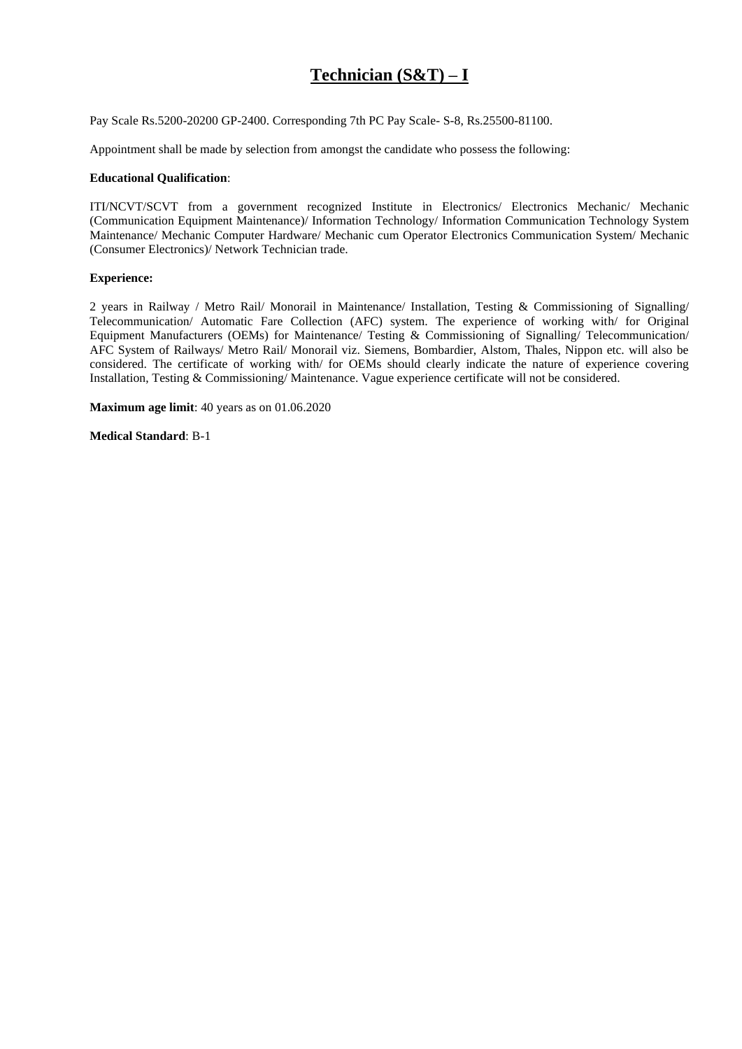## **Technician (S&T) – I**

Pay Scale Rs.5200-20200 GP-2400. Corresponding 7th PC Pay Scale- S-8, Rs.25500-81100.

Appointment shall be made by selection from amongst the candidate who possess the following:

### **Educational Qualification**:

ITI/NCVT/SCVT from a government recognized Institute in Electronics/ Electronics Mechanic/ Mechanic (Communication Equipment Maintenance)/ Information Technology/ Information Communication Technology System Maintenance/ Mechanic Computer Hardware/ Mechanic cum Operator Electronics Communication System/ Mechanic (Consumer Electronics)/ Network Technician trade.

#### **Experience:**

2 years in Railway / Metro Rail/ Monorail in Maintenance/ Installation, Testing & Commissioning of Signalling/ Telecommunication/ Automatic Fare Collection (AFC) system. The experience of working with/ for Original Equipment Manufacturers (OEMs) for Maintenance/ Testing & Commissioning of Signalling/ Telecommunication/ AFC System of Railways/ Metro Rail/ Monorail viz. Siemens, Bombardier, Alstom, Thales, Nippon etc. will also be considered. The certificate of working with/ for OEMs should clearly indicate the nature of experience covering Installation, Testing & Commissioning/ Maintenance. Vague experience certificate will not be considered.

**Maximum age limit**: 40 years as on 01.06.2020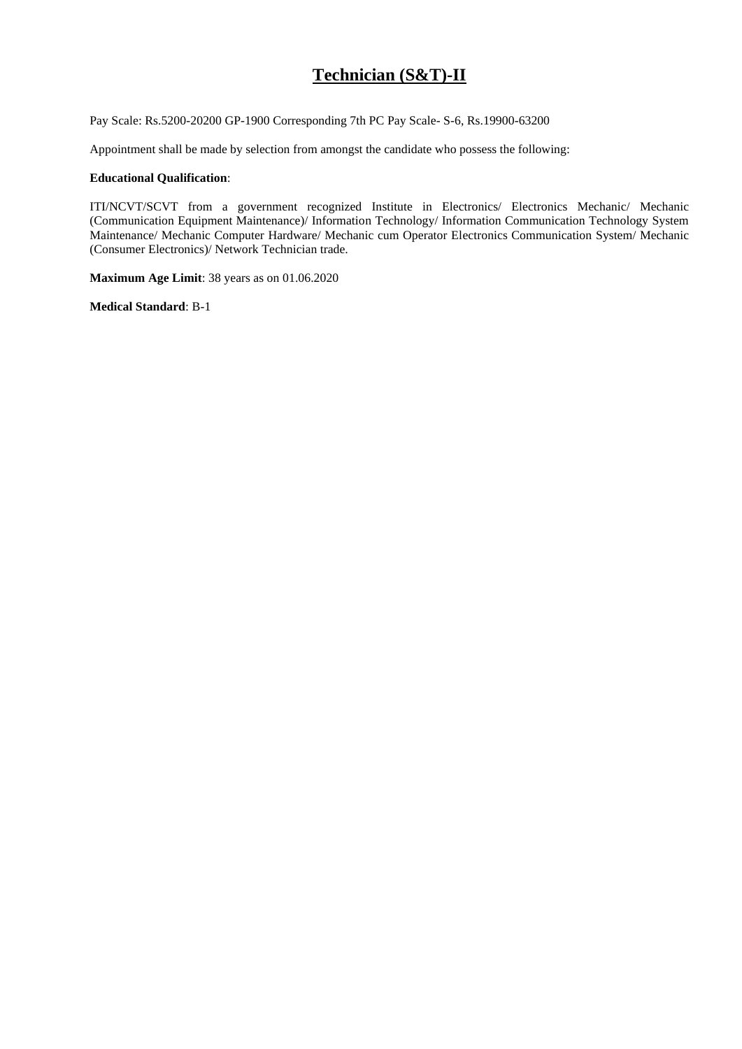# **Technician (S&T)-II**

Pay Scale: Rs.5200-20200 GP-1900 Corresponding 7th PC Pay Scale- S-6, Rs.19900-63200

Appointment shall be made by selection from amongst the candidate who possess the following:

#### **Educational Qualification**:

ITI/NCVT/SCVT from a government recognized Institute in Electronics/ Electronics Mechanic/ Mechanic (Communication Equipment Maintenance)/ Information Technology/ Information Communication Technology System Maintenance/ Mechanic Computer Hardware/ Mechanic cum Operator Electronics Communication System/ Mechanic (Consumer Electronics)/ Network Technician trade.

**Maximum Age Limit**: 38 years as on 01.06.2020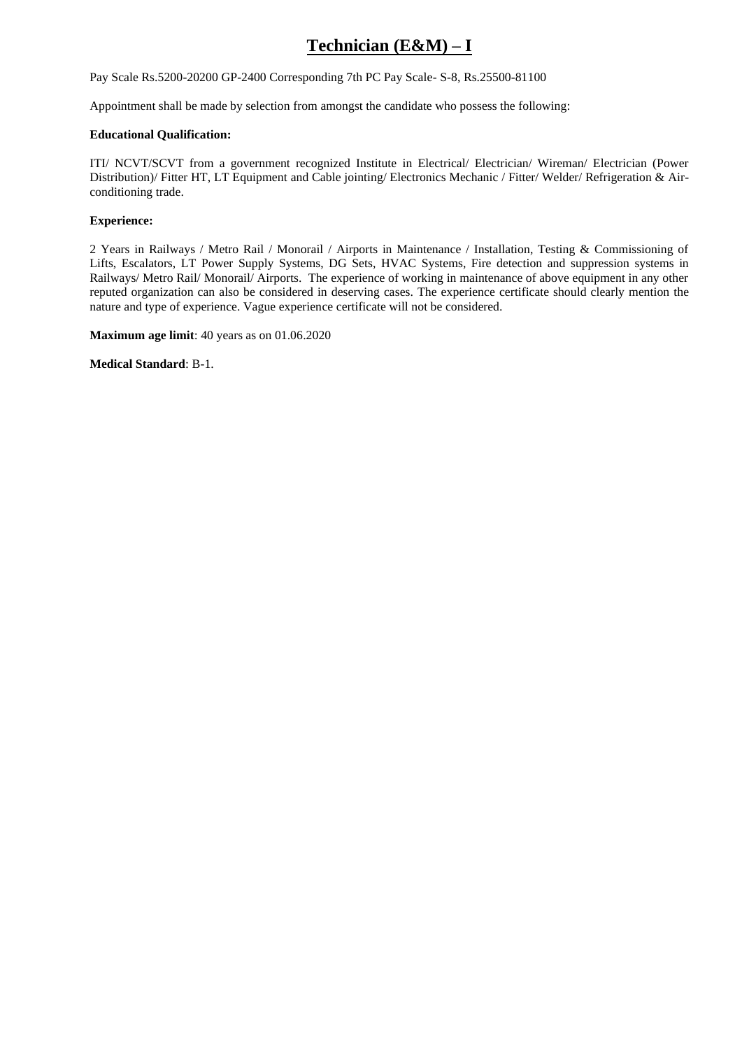# **Technician (E&M) – I**

Pay Scale Rs.5200-20200 GP-2400 Corresponding 7th PC Pay Scale- S-8, Rs.25500-81100

Appointment shall be made by selection from amongst the candidate who possess the following:

#### **Educational Qualification:**

ITI/ NCVT/SCVT from a government recognized Institute in Electrical/ Electrician/ Wireman/ Electrician (Power Distribution)/ Fitter HT, LT Equipment and Cable jointing/ Electronics Mechanic / Fitter/ Welder/ Refrigeration & Airconditioning trade.

#### **Experience:**

2 Years in Railways / Metro Rail / Monorail / Airports in Maintenance / Installation, Testing & Commissioning of Lifts, Escalators, LT Power Supply Systems, DG Sets, HVAC Systems, Fire detection and suppression systems in Railways/ Metro Rail/ Monorail/ Airports. The experience of working in maintenance of above equipment in any other reputed organization can also be considered in deserving cases. The experience certificate should clearly mention the nature and type of experience. Vague experience certificate will not be considered.

**Maximum age limit**: 40 years as on 01.06.2020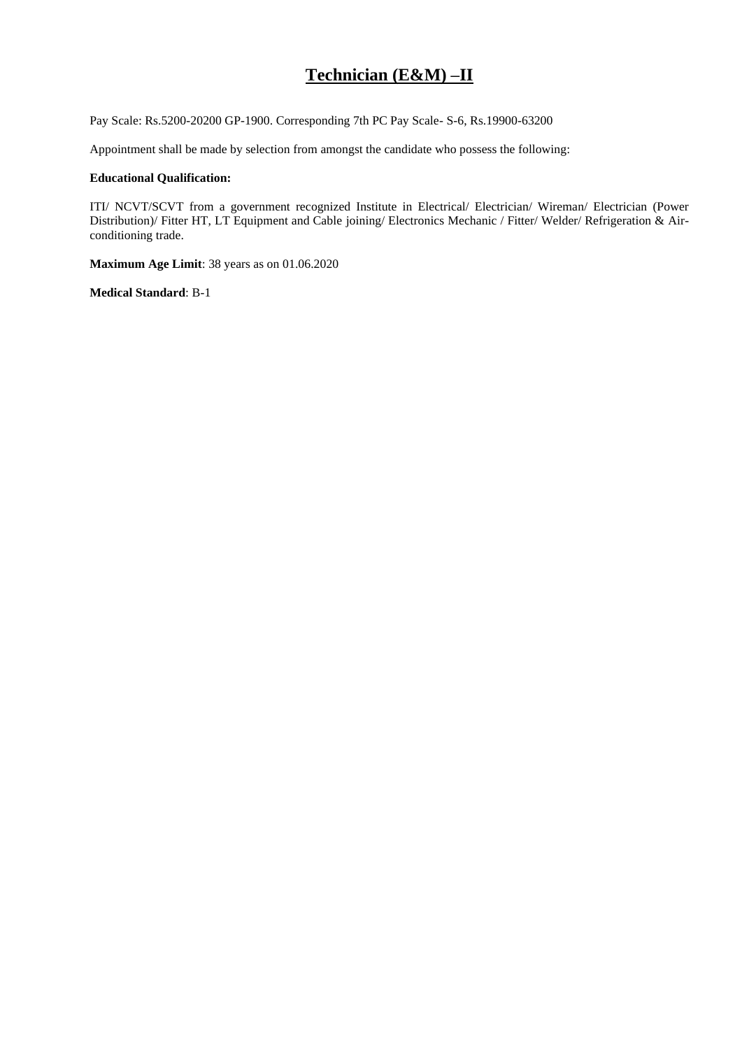## **Technician (E&M) –II**

Pay Scale: Rs.5200-20200 GP-1900. Corresponding 7th PC Pay Scale- S-6, Rs.19900-63200

Appointment shall be made by selection from amongst the candidate who possess the following:

#### **Educational Qualification:**

ITI/ NCVT/SCVT from a government recognized Institute in Electrical/ Electrician/ Wireman/ Electrician (Power Distribution)/ Fitter HT, LT Equipment and Cable joining/ Electronics Mechanic / Fitter/ Welder/ Refrigeration & Airconditioning trade.

**Maximum Age Limit**: 38 years as on 01.06.2020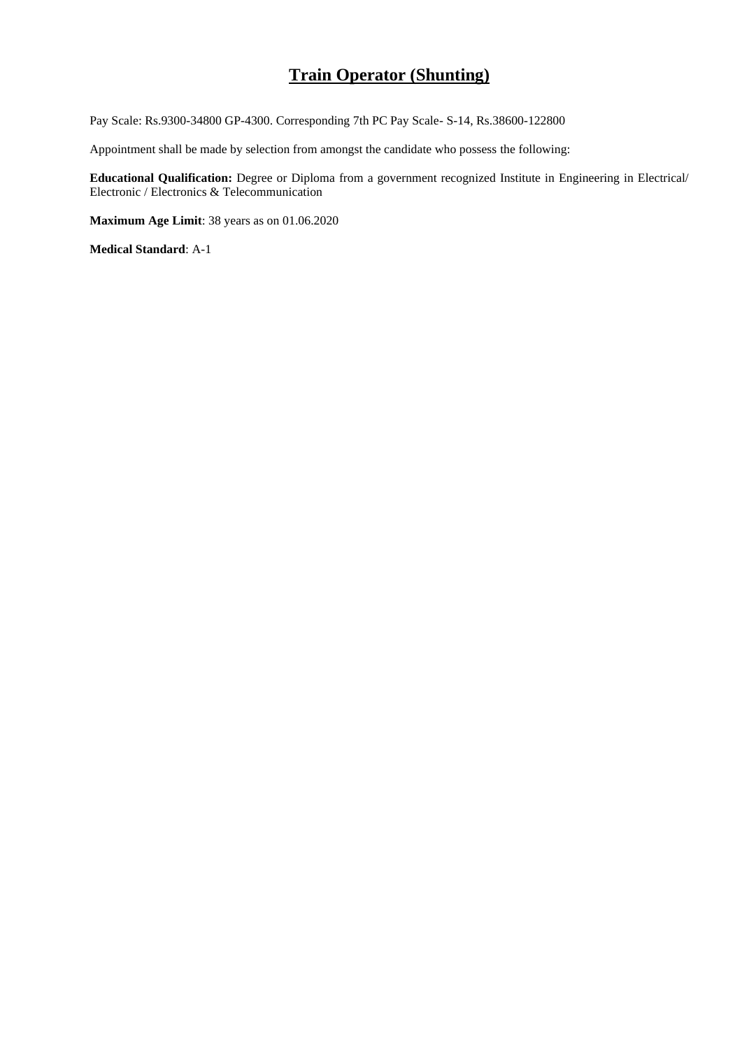### **Train Operator (Shunting)**

Pay Scale: Rs.9300-34800 GP-4300. Corresponding 7th PC Pay Scale- S-14, Rs.38600-122800

Appointment shall be made by selection from amongst the candidate who possess the following:

**Educational Qualification:** Degree or Diploma from a government recognized Institute in Engineering in Electrical/ Electronic / Electronics & Telecommunication

**Maximum Age Limit**: 38 years as on 01.06.2020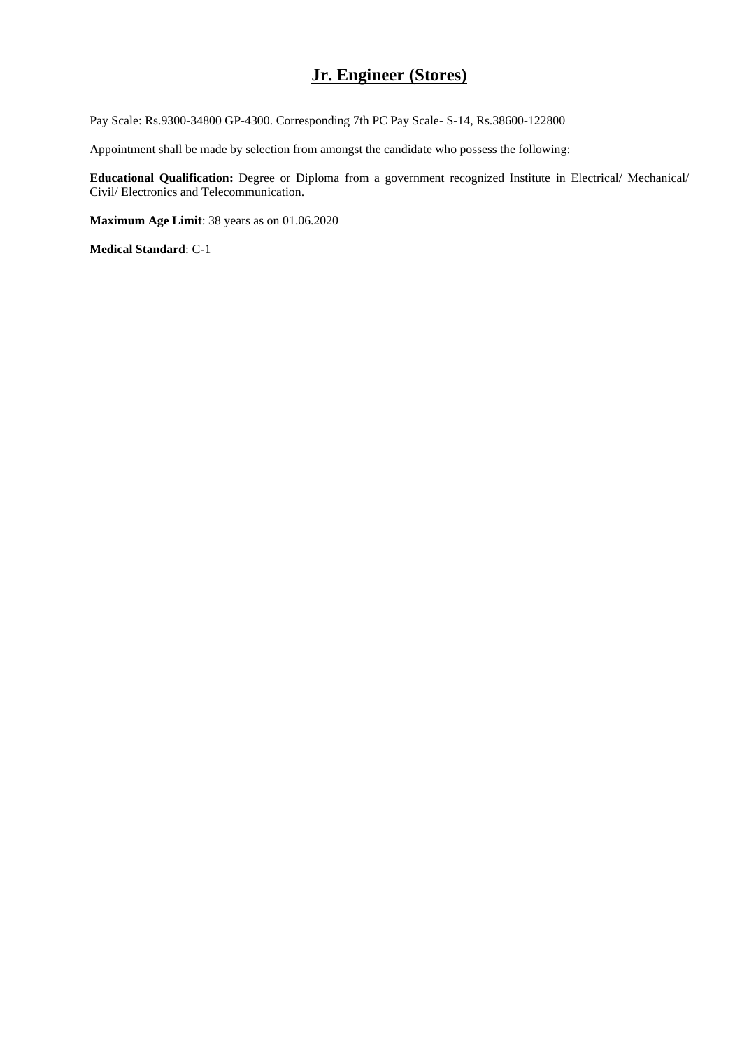# **Jr. Engineer (Stores)**

Pay Scale: Rs.9300-34800 GP-4300. Corresponding 7th PC Pay Scale- S-14, Rs.38600-122800

Appointment shall be made by selection from amongst the candidate who possess the following:

**Educational Qualification:** Degree or Diploma from a government recognized Institute in Electrical/ Mechanical/ Civil/ Electronics and Telecommunication.

**Maximum Age Limit**: 38 years as on 01.06.2020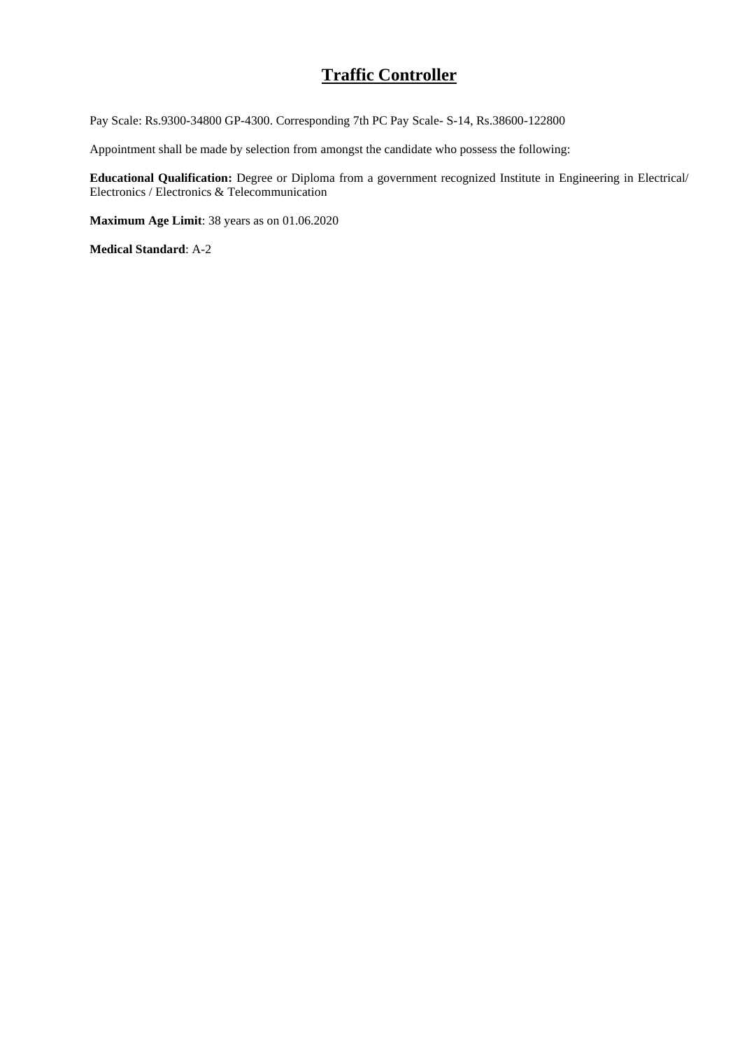## **Traffic Controller**

Pay Scale: Rs.9300-34800 GP-4300. Corresponding 7th PC Pay Scale- S-14, Rs.38600-122800

Appointment shall be made by selection from amongst the candidate who possess the following:

**Educational Qualification:** Degree or Diploma from a government recognized Institute in Engineering in Electrical/ Electronics / Electronics & Telecommunication

**Maximum Age Limit**: 38 years as on 01.06.2020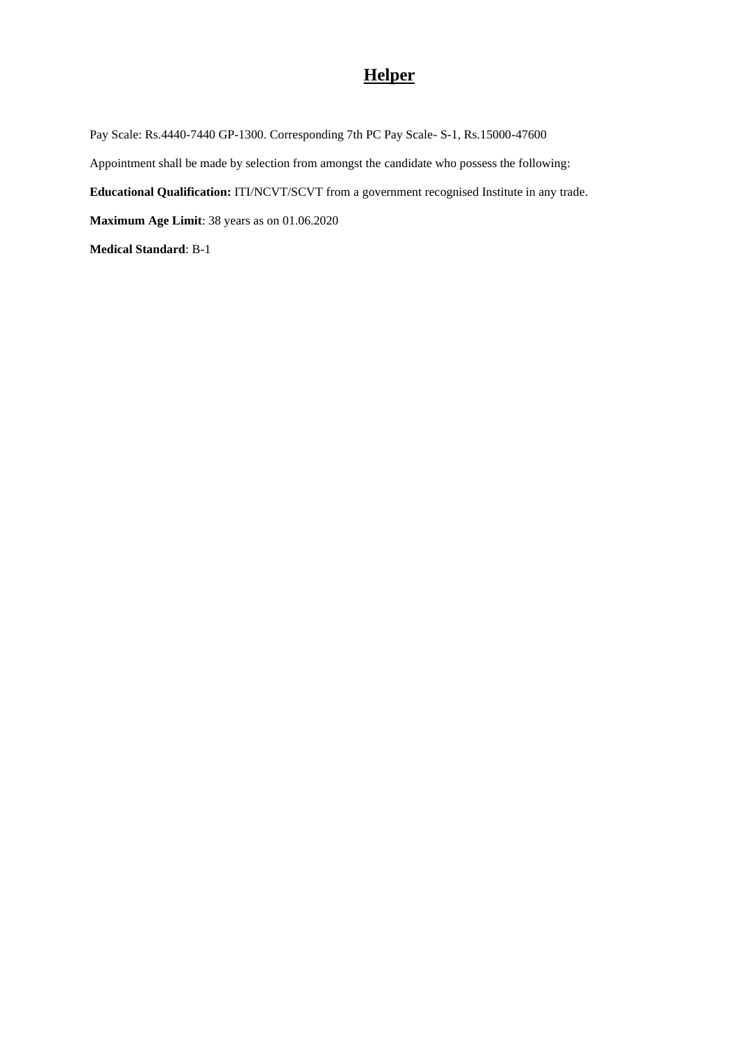# **Helper**

Pay Scale: Rs.4440-7440 GP-1300. Corresponding 7th PC Pay Scale- S-1, Rs.15000-47600 Appointment shall be made by selection from amongst the candidate who possess the following: **Educational Qualification:** ITI/NCVT/SCVT from a government recognised Institute in any trade. **Maximum Age Limit**: 38 years as on 01.06.2020 **Medical Standard**: B-1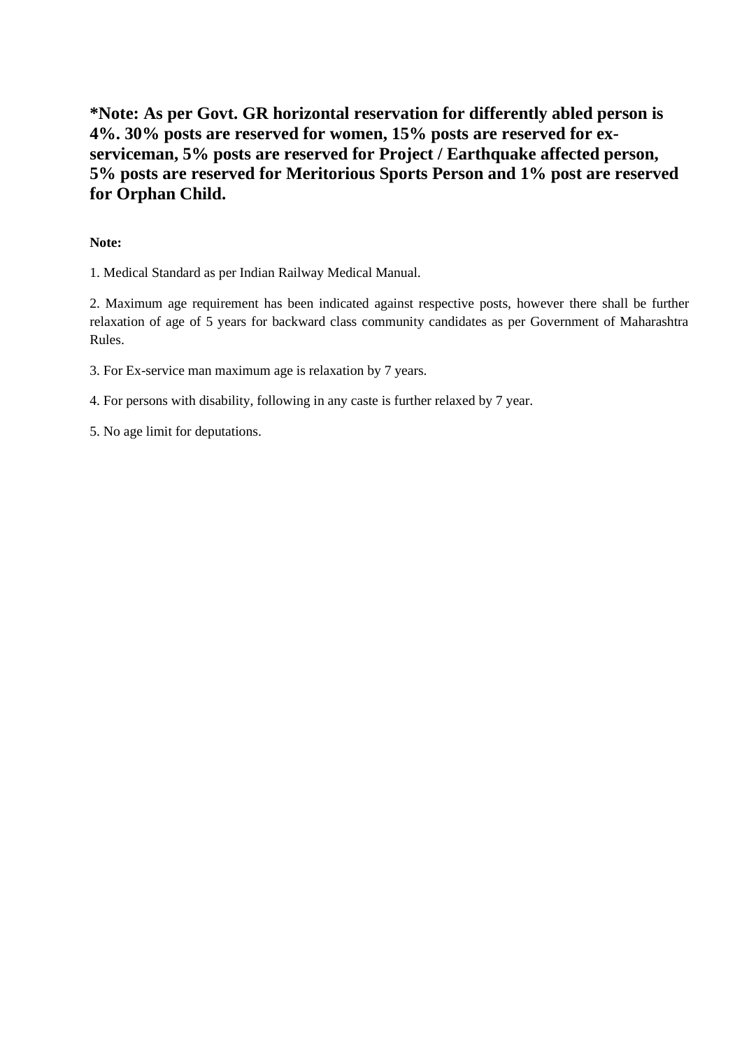**\*Note: As per Govt. GR horizontal reservation for differently abled person is 4%. 30% posts are reserved for women, 15% posts are reserved for exserviceman, 5% posts are reserved for Project / Earthquake affected person, 5% posts are reserved for Meritorious Sports Person and 1% post are reserved for Orphan Child.**

### **Note:**

1. Medical Standard as per Indian Railway Medical Manual.

2. Maximum age requirement has been indicated against respective posts, however there shall be further relaxation of age of 5 years for backward class community candidates as per Government of Maharashtra Rules.

3. For Ex-service man maximum age is relaxation by 7 years.

4. For persons with disability, following in any caste is further relaxed by 7 year.

5. No age limit for deputations.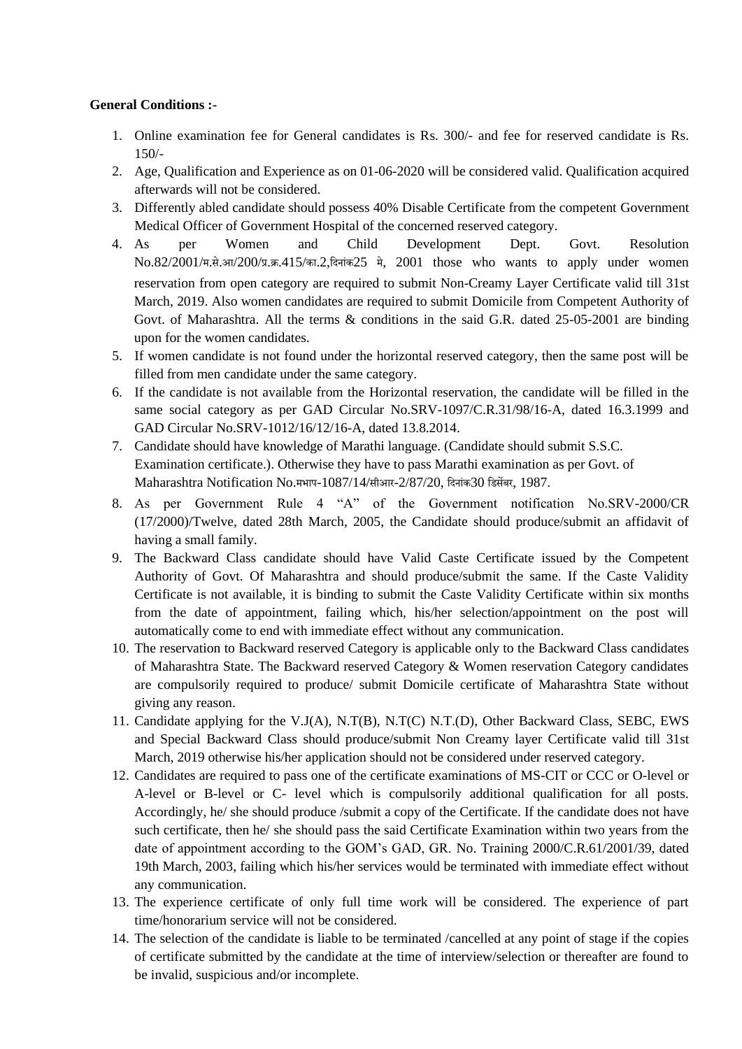### **General Conditions :-**

- 1. Online examination fee for General candidates is Rs. 300/- and fee for reserved candidate is Rs. 150/-
- 2. Age, Qualification and Experience as on 01-06-2020 will be considered valid. Qualification acquired afterwards will not be considered.
- 3. Differently abled candidate should possess 40% Disable Certificate from the competent Government Medical Officer of Government Hospital of the concerned reserved category.
- 4. As per Women and Child Development Dept. Govt. Resolution No.82/2001/म.से.आ/200/प्र.क्र.415/का.2,दिनांक25 मे, 2001 those who wants to apply under women reservation from open category are required to submit Non-Creamy Layer Certificate valid till 31st March, 2019. Also women candidates are required to submit Domicile from Competent Authority of Govt. of Maharashtra. All the terms & conditions in the said G.R. dated 25-05-2001 are binding upon for the women candidates.
- 5. If women candidate is not found under the horizontal reserved category, then the same post will be filled from men candidate under the same category.
- 6. If the candidate is not available from the Horizontal reservation, the candidate will be filled in the same social category as per GAD Circular No.SRV-1097/C.R.31/98/16-A, dated 16.3.1999 and GAD Circular No.SRV-1012/16/12/16-A, dated 13.8.2014.
- 7. Candidate should have knowledge of Marathi language. (Candidate should submit S.S.C. Examination certificate.). Otherwise they have to pass Marathi examination as per Govt. of Maharashtra Notification No.मभाप-1087/14/सीआर-2/87/20, दिनांक30 डिसेंबर, 1987.
- 8. As per Government Rule 4 "A" of the Government notification No.SRV-2000/CR (17/2000)/Twelve, dated 28th March, 2005, the Candidate should produce/submit an affidavit of having a small family.
- 9. The Backward Class candidate should have Valid Caste Certificate issued by the Competent Authority of Govt. Of Maharashtra and should produce/submit the same. If the Caste Validity Certificate is not available, it is binding to submit the Caste Validity Certificate within six months from the date of appointment, failing which, his/her selection/appointment on the post will automatically come to end with immediate effect without any communication.
- 10. The reservation to Backward reserved Category is applicable only to the Backward Class candidates of Maharashtra State. The Backward reserved Category & Women reservation Category candidates are compulsorily required to produce/ submit Domicile certificate of Maharashtra State without giving any reason.
- 11. Candidate applying for the V.J(A), N.T(B), N.T(C) N.T.(D), Other Backward Class, SEBC, EWS and Special Backward Class should produce/submit Non Creamy layer Certificate valid till 31st March, 2019 otherwise his/her application should not be considered under reserved category.
- 12. Candidates are required to pass one of the certificate examinations of MS-CIT or CCC or O-level or A-level or B-level or C- level which is compulsorily additional qualification for all posts. Accordingly, he/ she should produce /submit a copy of the Certificate. If the candidate does not have such certificate, then he/ she should pass the said Certificate Examination within two years from the date of appointment according to the GOM's GAD, GR. No. Training 2000/C.R.61/2001/39, dated 19th March, 2003, failing which his/her services would be terminated with immediate effect without any communication.
- 13. The experience certificate of only full time work will be considered. The experience of part time/honorarium service will not be considered.
- 14. The selection of the candidate is liable to be terminated /cancelled at any point of stage if the copies of certificate submitted by the candidate at the time of interview/selection or thereafter are found to be invalid, suspicious and/or incomplete.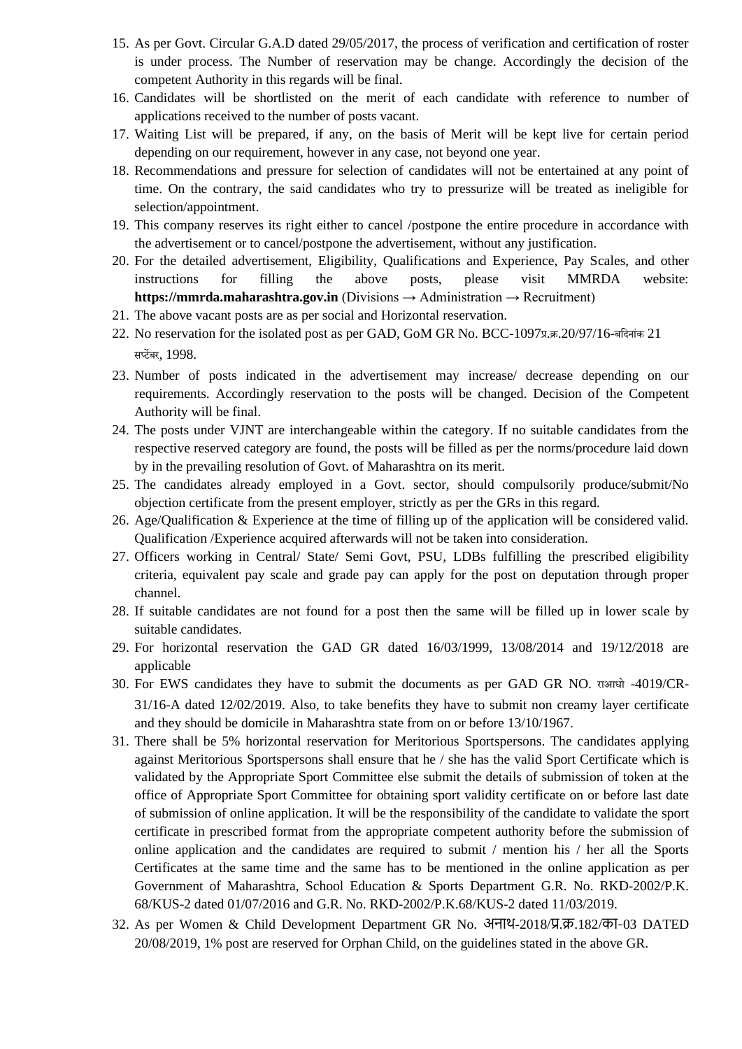- 15. As per Govt. Circular G.A.D dated 29/05/2017, the process of verification and certification of roster is under process. The Number of reservation may be change. Accordingly the decision of the competent Authority in this regards will be final.
- 16. Candidates will be shortlisted on the merit of each candidate with reference to number of applications received to the number of posts vacant.
- 17. Waiting List will be prepared, if any, on the basis of Merit will be kept live for certain period depending on our requirement, however in any case, not beyond one year.
- 18. Recommendations and pressure for selection of candidates will not be entertained at any point of time. On the contrary, the said candidates who try to pressurize will be treated as ineligible for selection/appointment.
- 19. This company reserves its right either to cancel /postpone the entire procedure in accordance with the advertisement or to cancel/postpone the advertisement, without any justification.
- 20. For the detailed advertisement, Eligibility, Qualifications and Experience, Pay Scales, and other instructions for filling the above posts, please visit MMRDA website: **https://mmrda.maharashtra.gov.in** (Divisions → Administration → Recruitment)
- 21. The above vacant posts are as per social and Horizontal reservation.
- 22. No reservation for the isolated post as per GAD, GoM GR No. BCC-1097प्र.क्र.20/97/16-बदिनांक 21 सप्टेंबर, 1998.
- 23. Number of posts indicated in the advertisement may increase/ decrease depending on our requirements. Accordingly reservation to the posts will be changed. Decision of the Competent Authority will be final.
- 24. The posts under VJNT are interchangeable within the category. If no suitable candidates from the respective reserved category are found, the posts will be filled as per the norms/procedure laid down by in the prevailing resolution of Govt. of Maharashtra on its merit.
- 25. The candidates already employed in a Govt. sector, should compulsorily produce/submit/No objection certificate from the present employer, strictly as per the GRs in this regard.
- 26. Age/Qualification & Experience at the time of filling up of the application will be considered valid. Qualification /Experience acquired afterwards will not be taken into consideration.
- 27. Officers working in Central/ State/ Semi Govt, PSU, LDBs fulfilling the prescribed eligibility criteria, equivalent pay scale and grade pay can apply for the post on deputation through proper channel.
- 28. If suitable candidates are not found for a post then the same will be filled up in lower scale by suitable candidates.
- 29. For horizontal reservation the GAD GR dated 16/03/1999, 13/08/2014 and 19/12/2018 are applicable
- 30. For EWS candidates they have to submit the documents as per GAD GR NO. राआधो -4019/CR-31/16-A dated 12/02/2019. Also, to take benefits they have to submit non creamy layer certificate and they should be domicile in Maharashtra state from on or before 13/10/1967.
- 31. There shall be 5% horizontal reservation for Meritorious Sportspersons. The candidates applying against Meritorious Sportspersons shall ensure that he / she has the valid Sport Certificate which is validated by the Appropriate Sport Committee else submit the details of submission of token at the office of Appropriate Sport Committee for obtaining sport validity certificate on or before last date of submission of online application. It will be the responsibility of the candidate to validate the sport certificate in prescribed format from the appropriate competent authority before the submission of online application and the candidates are required to submit / mention his / her all the Sports Certificates at the same time and the same has to be mentioned in the online application as per Government of Maharashtra, School Education & Sports Department G.R. No. RKD-2002/P.K. 68/KUS-2 dated 01/07/2016 and G.R. No. RKD-2002/P.K.68/KUS-2 dated 11/03/2019.
- 32. As per Women & Child Development Department GR No. अनाथ-2018/प्र.क्र.182/का-03 DATED 20/08/2019, 1% post are reserved for Orphan Child, on the guidelines stated in the above GR.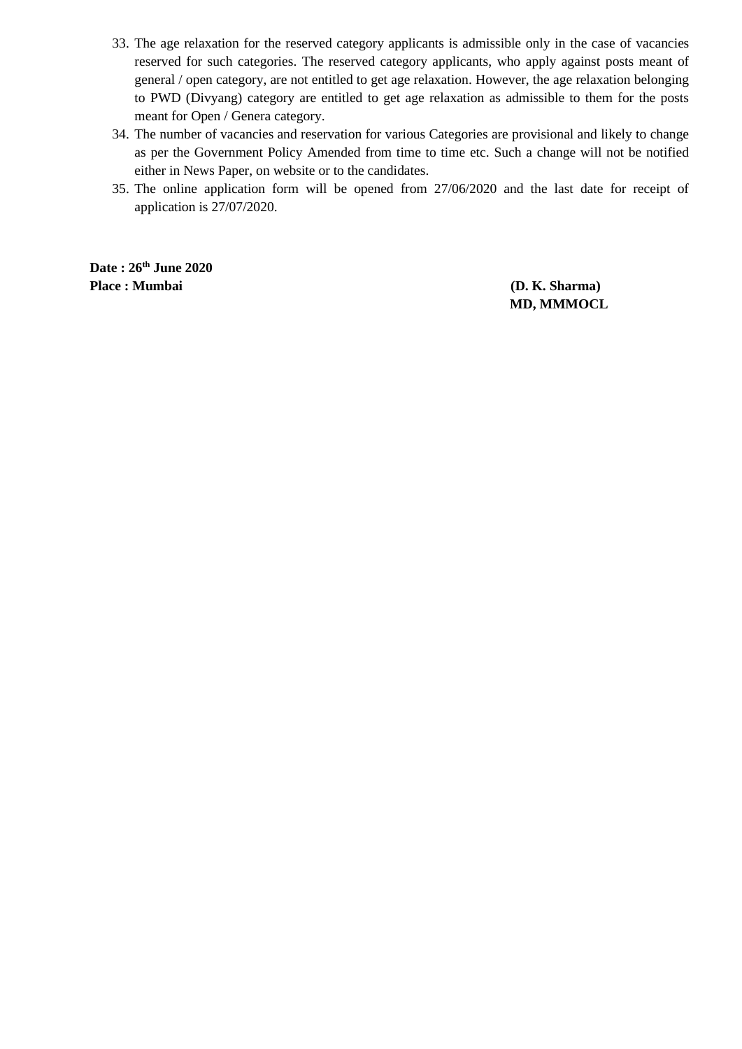- 33. The age relaxation for the reserved category applicants is admissible only in the case of vacancies reserved for such categories. The reserved category applicants, who apply against posts meant of general / open category, are not entitled to get age relaxation. However, the age relaxation belonging to PWD (Divyang) category are entitled to get age relaxation as admissible to them for the posts meant for Open / Genera category.
- 34. The number of vacancies and reservation for various Categories are provisional and likely to change as per the Government Policy Amended from time to time etc. Such a change will not be notified either in News Paper, on website or to the candidates.
- 35. The online application form will be opened from 27/06/2020 and the last date for receipt of application is 27/07/2020.

**Date : 26th June 2020 Place : Mumbai (D. K. Sharma)**

 **MD, MMMOCL**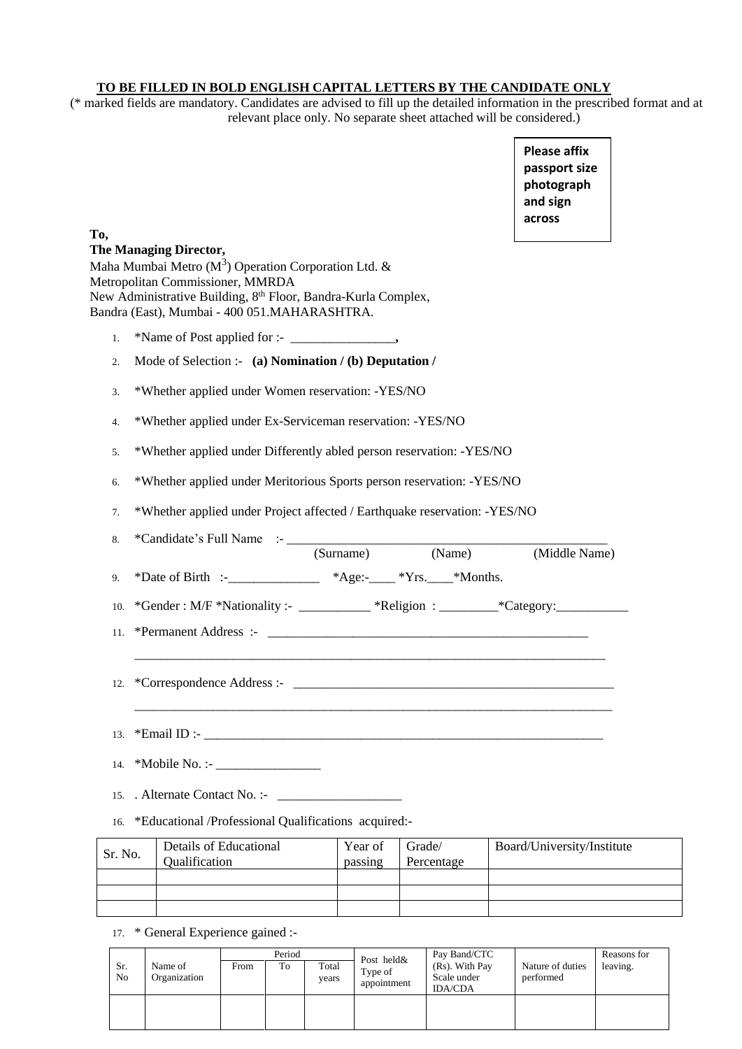### **TO BE FILLED IN BOLD ENGLISH CAPITAL LETTERS BY THE CANDIDATE ONLY**

(\* marked fields are mandatory. Candidates are advised to fill up the detailed information in the prescribed format and at relevant place only. No separate sheet attached will be considered.)

> **Please affix passport size photograph and sign across**

# **To, The Managing Director,**  Maha Mumbai Metro ( $M<sup>3</sup>$ ) Operation Corporation Ltd. & Metropolitan Commissioner, MMRDA New Administrative Building, 8th Floor, Bandra-Kurla Complex, Bandra (East), Mumbai - 400 051.MAHARASHTRA. 1. \*Name of Post applied for :- \_\_\_\_\_\_\_\_\_\_\_\_\_\_\_\_**,**  2. Mode of Selection :- **(a) Nomination / (b) Deputation /** 3. \*Whether applied under Women reservation: -YES/NO 4. \*Whether applied under Ex-Serviceman reservation: -YES/NO 5. \*Whether applied under Differently abled person reservation: -YES/NO 6. \*Whether applied under Meritorious Sports person reservation: -YES/NO 7. \*Whether applied under Project affected / Earthquake reservation: -YES/NO 8. \*Candidate's Full Name  $\cdot$ - $\frac{\text{Surname}}{\text{Surname}}}$ (Surname) (Name) (Middle Name) 9. \*Date of Birth :-\_\_\_\_\_\_\_\_\_\_\_\_\_\_ \*Age:-\_\_\_\_ \*Yrs.\_\_\_\_\*Months. 10. \*Gender : M/F \*Nationality :- \_\_\_\_\_\_\_\_\_\_ \*Religion : \_\_\_\_\_\_\_\_ \*Category: \_\_\_\_\_\_\_\_\_ 11. \*Permanent Address :- \_\_\_\_\_\_\_\_\_\_\_\_\_\_\_\_\_\_\_\_\_\_\_\_\_\_\_\_\_\_\_\_\_\_\_\_\_\_\_\_\_\_\_\_\_\_\_\_\_  $\_$  , and the set of the set of the set of the set of the set of the set of the set of the set of the set of the set of the set of the set of the set of the set of the set of the set of the set of the set of the set of th 12. \*Correspondence Address :- \_\_\_\_\_\_\_\_\_\_\_\_\_\_\_\_\_\_\_\_\_\_\_\_\_\_\_\_\_\_\_\_\_\_\_\_\_\_\_\_\_\_\_\_\_\_\_\_\_  $\_$  , and the set of the set of the set of the set of the set of the set of the set of the set of the set of the set of the set of the set of the set of the set of the set of the set of the set of the set of the set of th 13.  $*$ Email ID :-14. \*Mobile No. :- \_\_\_\_\_\_\_\_\_\_\_\_\_\_\_\_ 15. Alternate Contact No. :-16. \*Educational /Professional Qualifications acquired:- Sr. No. Details of Educational Qualification Year of passing Grade/ Percentage Board/University/Institute

17. \* General Experience gained :-

|           |                         | Period |    |                | Post held&  | Pay Band/CTC                  |                               | Reasons for |
|-----------|-------------------------|--------|----|----------------|-------------|-------------------------------|-------------------------------|-------------|
| Sr.<br>No | Name of<br>Organization | From   | To | Total<br>years | Type of     | (Rs). With Pay<br>Scale under | Nature of duties<br>performed | leaving.    |
|           |                         |        |    |                | appointment | <b>IDA/CDA</b>                |                               |             |
|           |                         |        |    |                |             |                               |                               |             |
|           |                         |        |    |                |             |                               |                               |             |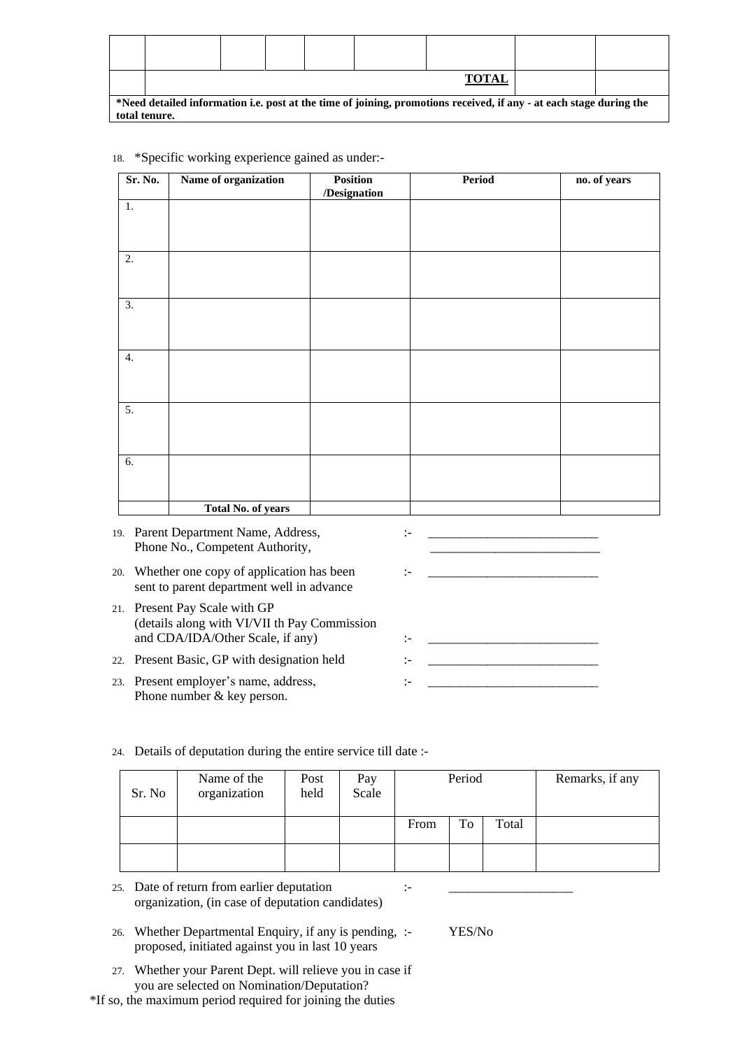|                                                                                                                     | <b>TOTAL</b> |  |  |  |  |  |  |  |  |  |
|---------------------------------------------------------------------------------------------------------------------|--------------|--|--|--|--|--|--|--|--|--|
| *Need detailed information i.e. post at the time of joining, promotions received, if any - at each stage during the |              |  |  |  |  |  |  |  |  |  |
| total tenure.                                                                                                       |              |  |  |  |  |  |  |  |  |  |

| Sr. No.          | Name of organization                                                                      | <b>Position</b><br>/Designation | <b>Period</b>         | no. of years |
|------------------|-------------------------------------------------------------------------------------------|---------------------------------|-----------------------|--------------|
| 1.               |                                                                                           |                                 |                       |              |
|                  |                                                                                           |                                 |                       |              |
| 2.               |                                                                                           |                                 |                       |              |
|                  |                                                                                           |                                 |                       |              |
| 3.               |                                                                                           |                                 |                       |              |
|                  |                                                                                           |                                 |                       |              |
| $\overline{4}$ . |                                                                                           |                                 |                       |              |
|                  |                                                                                           |                                 |                       |              |
| 5.               |                                                                                           |                                 |                       |              |
|                  |                                                                                           |                                 |                       |              |
| 6.               |                                                                                           |                                 |                       |              |
|                  |                                                                                           |                                 |                       |              |
|                  | <b>Total No. of years</b>                                                                 |                                 |                       |              |
|                  | 19. Parent Department Name, Address,<br>Phone No., Competent Authority,                   |                                 | :-                    |              |
|                  | 20. Whether one copy of application has been<br>sent to parent department well in advance |                                 | $\mathbf{L}$          |              |
|                  | 21. Present Pay Scale with GP<br>(details along with VI/VII th Pay Commission             |                                 |                       |              |
|                  | and CDA/IDA/Other Scale, if any)                                                          |                                 | $\mathrel{\mathop:}=$ |              |

18. \*Specific working experience gained as under:-

22. Present Basic, GP with designation held  $\qquad \qquad : \qquad$ 

23. Present employer's name, address,  $\vdots$ Phone number & key person.

#### 24. Details of deputation during the entire service till date :-

| Sr. No | Name of the<br>organization | Post<br>held | Pay<br>Scale | Period |    |       | Remarks, if any |
|--------|-----------------------------|--------------|--------------|--------|----|-------|-----------------|
|        |                             |              |              | From   | To | Total |                 |
|        |                             |              |              |        |    |       |                 |

25. Date of return from earlier deputation :organization, (in case of deputation candidates)

- 26. Whether Departmental Enquiry, if any is pending, :- YES/No proposed, initiated against you in last 10 years
- 27. Whether your Parent Dept. will relieve you in case if you are selected on Nomination/Deputation?

\*If so, the maximum period required for joining the duties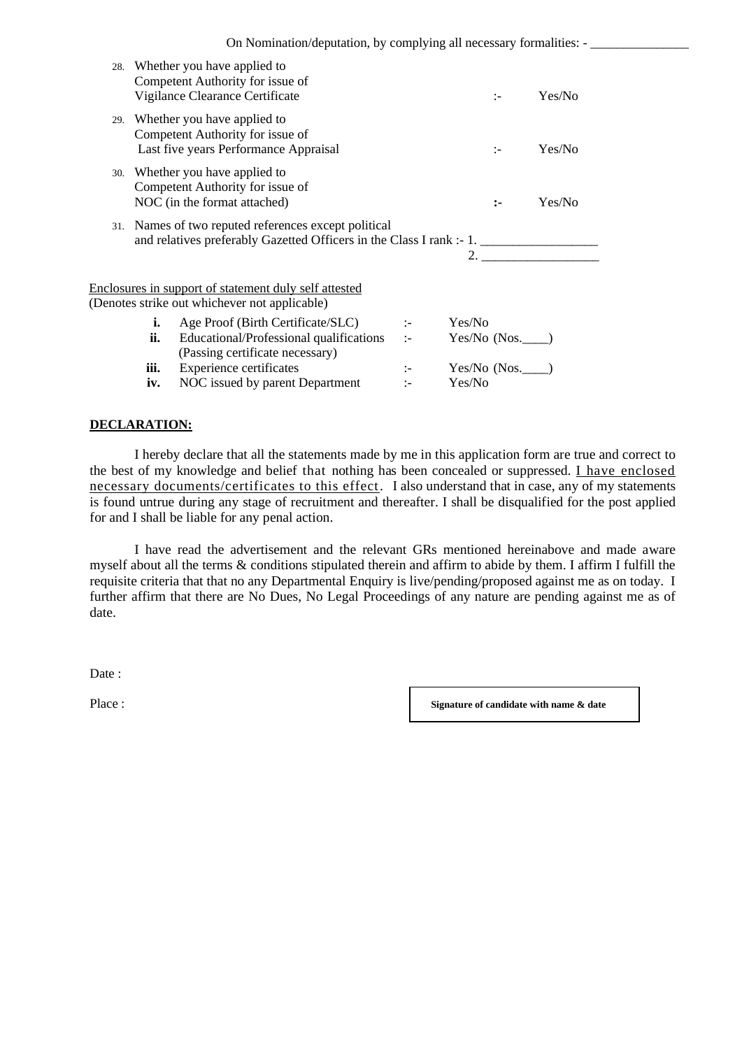|             | 28. Whether you have applied to<br>Competent Authority for issue of<br>Vigilance Clearance Certificate                       |                                          |        | $\mathbf{L}$      | Yes/No |
|-------------|------------------------------------------------------------------------------------------------------------------------------|------------------------------------------|--------|-------------------|--------|
|             | 29. Whether you have applied to<br>Competent Authority for issue of<br>Last five years Performance Appraisal                 |                                          |        | $\mathbf{I}$      | Yes/No |
|             | 30. Whether you have applied to<br>Competent Authority for issue of<br>NOC (in the format attached)                          |                                          |        | $\mathbf{L}$      | Yes/No |
|             | 31. Names of two reputed references except political<br>and relatives preferably Gazetted Officers in the Class I rank :- 1. |                                          |        | 2.                |        |
|             | Enclosures in support of statement duly self attested<br>(Denotes strike out whichever not applicable)                       |                                          |        |                   |        |
| i.<br>ii.   | Age Proof (Birth Certificate/SLC)<br>Educational/Professional qualifications<br>(Passing certificate necessary)              | $\mathbb{R}^{n \times n}$<br>$1 - 1 = 1$ | Yes/No | Yes/No (Nos._____ |        |
| iii.<br>iv. | <b>Experience certificates</b><br>NOC issued by parent Department                                                            | $\mathbb{R}^n$<br>$\mathbf{L}$           | Yes/No | Yes/No (Nos.      |        |

### **DECLARATION:**

I hereby declare that all the statements made by me in this application form are true and correct to the best of my knowledge and belief that nothing has been concealed or suppressed. I have enclosed necessary documents/certificates to this effect. I also understand that in case, any of my statements is found untrue during any stage of recruitment and thereafter. I shall be disqualified for the post applied for and I shall be liable for any penal action.

I have read the advertisement and the relevant GRs mentioned hereinabove and made aware myself about all the terms & conditions stipulated therein and affirm to abide by them. I affirm I fulfill the requisite criteria that that no any Departmental Enquiry is live/pending/proposed against me as on today. I further affirm that there are No Dues, No Legal Proceedings of any nature are pending against me as of date.

Date :

Place : **Signature of candidate with name & date**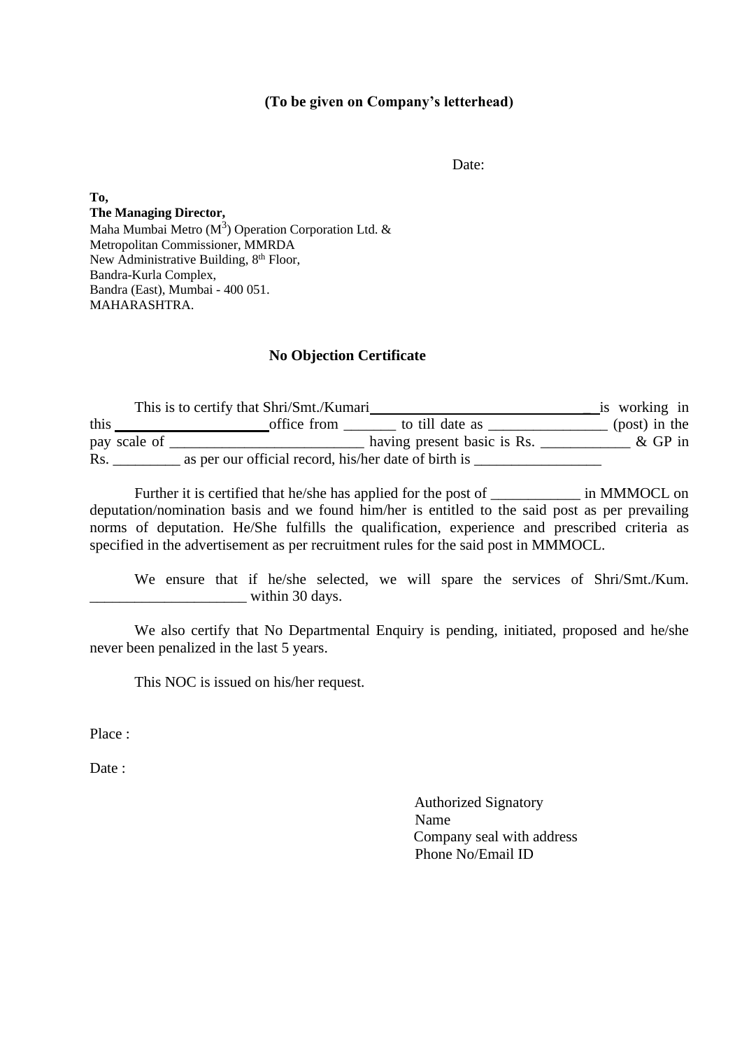### **(To be given on Company's letterhead)**

Date:

**To, The Managing Director,**  Maha Mumbai Metro ( $M^3$ ) Operation Corporation Ltd. & Metropolitan Commissioner, MMRDA New Administrative Building, 8<sup>th</sup> Floor, Bandra-Kurla Complex, Bandra (East), Mumbai - 400 051. MAHARASHTRA.

### **No Objection Certificate**

This is to certify that Shri/Smt./Kumari is working in this <u>contract the office from</u> to till date as <u>contract the set of the set of the set of the set of the set of the set of the set of the set of the set of the set of the set of the set of the set of the set of the set of</u> pay scale of \_\_\_\_\_\_\_\_\_\_\_\_\_\_\_\_\_\_\_\_\_\_\_\_\_\_ having present basic is Rs. \_\_\_\_\_\_\_\_\_\_\_\_ & GP in Rs. as per our official record, his/her date of birth is

Further it is certified that he/she has applied for the post of \_\_\_\_\_\_\_\_\_\_\_\_\_\_\_ in MMMOCL on deputation/nomination basis and we found him/her is entitled to the said post as per prevailing norms of deputation. He/She fulfills the qualification, experience and prescribed criteria as specified in the advertisement as per recruitment rules for the said post in MMMOCL.

We ensure that if he/she selected, we will spare the services of Shri/Smt./Kum.  $\frac{1}{\sqrt{1-\frac{1}{2}}\sqrt{1-\frac{1}{2}}\sqrt{1-\frac{1}{2}}\sqrt{1-\frac{1}{2}}\sqrt{1-\frac{1}{2}}\sqrt{1-\frac{1}{2}}\sqrt{1-\frac{1}{2}}\sqrt{1-\frac{1}{2}}\sqrt{1-\frac{1}{2}}\sqrt{1-\frac{1}{2}}\sqrt{1-\frac{1}{2}}\sqrt{1-\frac{1}{2}}\sqrt{1-\frac{1}{2}}\sqrt{1-\frac{1}{2}}\sqrt{1-\frac{1}{2}}\sqrt{1-\frac{1}{2}}\sqrt{1-\frac{1}{2}}\sqrt{1-\frac{1}{2}}\sqrt{1-\frac{1}{2}}\sqrt{1-\frac$ 

We also certify that No Departmental Enquiry is pending, initiated, proposed and he/she never been penalized in the last 5 years.

This NOC is issued on his/her request.

Place :

Date:

Authorized Signatory Name Company seal with address Phone No/Email ID